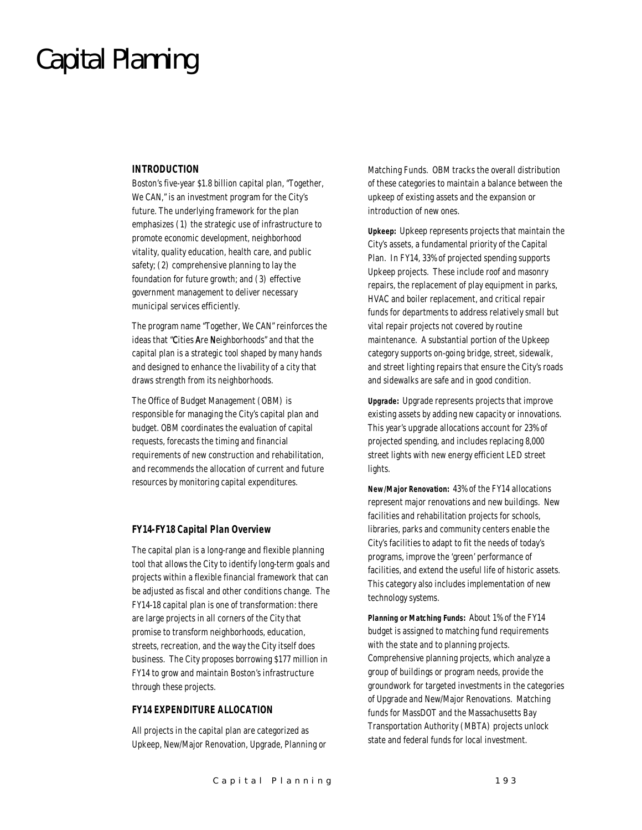## Capital Planning

#### *INTRODUCTION*

Boston's five-year \$1.8 billion capital plan, "Together, We CAN," is an investment program for the City's future. The underlying framework for the plan emphasizes (1) the strategic use of infrastructure to promote economic development, neighborhood vitality, quality education, health care, and public safety; (2) comprehensive planning to lay the foundation for future growth; and (3) effective government management to deliver necessary municipal services efficiently.

The program name "Together, We CAN" reinforces the ideas that "Cities Are Neighborhoods" and that the capital plan is a strategic tool shaped by many hands and designed to enhance the livability of a city that draws strength from its neighborhoods.

The Office of Budget Management (OBM) is responsible for managing the City's capital plan and budget. OBM coordinates the evaluation of capital requests, forecasts the timing and financial requirements of new construction and rehabilitation, and recommends the allocation of current and future resources by monitoring capital expenditures.

#### *FY14-FY18 Capital Plan Overview*

The capital plan is a long-range and flexible planning tool that allows the City to identify long-term goals and projects within a flexible financial framework that can be adjusted as fiscal and other conditions change. The FY14-18 capital plan is one of transformation: there are large projects in all corners of the City that promise to transform neighborhoods, education, streets, recreation, and the way the City itself does business. The City proposes borrowing \$177 million in FY14 to grow and maintain Boston's infrastructure through these projects.

#### *FY14 EXPENDITURE ALLOCATION*

All projects in the capital plan are categorized as Upkeep, New/Major Renovation, Upgrade, Planning or Matching Funds. OBM tracks the overall distribution of these categories to maintain a balance between the upkeep of existing assets and the expansion or introduction of new ones.

*Upkeep:* Upkeep represents projects that maintain the City's assets, a fundamental priority of the Capital Plan. In FY14, 33% of projected spending supports Upkeep projects. These include roof and masonry repairs, the replacement of play equipment in parks, HVAC and boiler replacement, and critical repair funds for departments to address relatively small but vital repair projects not covered by routine maintenance. A substantial portion of the Upkeep category supports on-going bridge, street, sidewalk, and street lighting repairs that ensure the City's roads and sidewalks are safe and in good condition.

*Upgrade:* Upgrade represents projects that improve existing assets by adding new capacity or innovations. This year's upgrade allocations account for 23% of projected spending, and includes replacing 8,000 street lights with new energy efficient LED street lights.

*New/Major Renovation:* 43% of the FY14 allocations represent major renovations and new buildings. New facilities and rehabilitation projects for schools, libraries, parks and community centers enable the City's facilities to adapt to fit the needs of today's programs, improve the 'green' performance of facilities, and extend the useful life of historic assets. This category also includes implementation of new technology systems.

*Planning or Matching Funds:* About 1% of the FY14 budget is assigned to matching fund requirements with the state and to planning projects. Comprehensive planning projects, which analyze a group of buildings or program needs, provide the groundwork for targeted investments in the categories of Upgrade and New/Major Renovations. Matching funds for MassDOT and the Massachusetts Bay Transportation Authority (MBTA) projects unlock state and federal funds for local investment.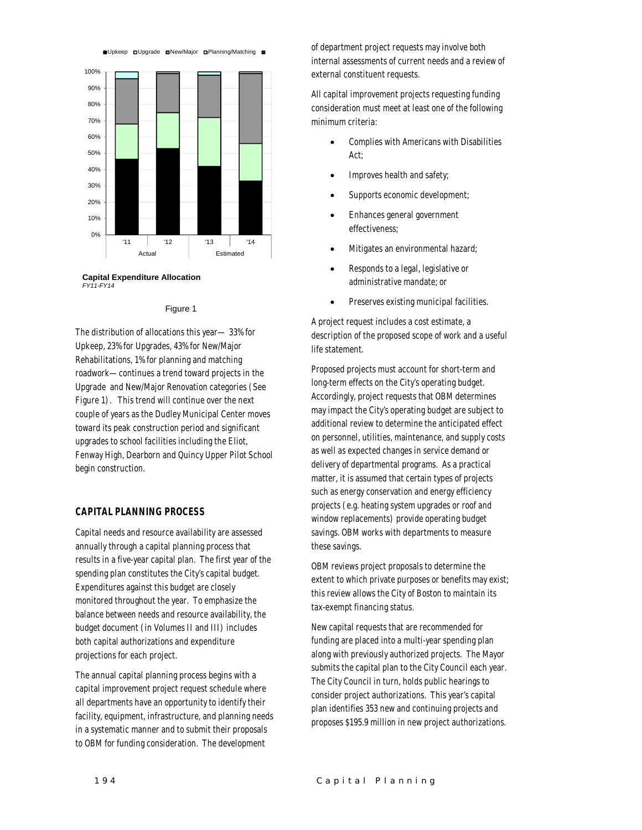





#### Figure 1

The distribution of allocations this year— 33% for Upkeep, 23% for Upgrades, 43% for New/Major Rehabilitations, 1% for planning and matching roadwork—continues a trend toward projects in the Upgrade and New/Major Renovation categories (See Figure 1). This trend will continue over the next couple of years as the Dudley Municipal Center moves toward its peak construction period and significant upgrades to school facilities including the Eliot, Fenway High, Dearborn and Quincy Upper Pilot School begin construction.

#### *CAPITAL PLANNING PROCESS*

Capital needs and resource availability are assessed annually through a capital planning process that results in a five-year capital plan. The first year of the spending plan constitutes the City's capital budget. Expenditures against this budget are closely monitored throughout the year. To emphasize the balance between needs and resource availability, the budget document (in Volumes II and III) includes both capital authorizations and expenditure projections for each project.

The annual capital planning process begins with a capital improvement project request schedule where all departments have an opportunity to identify their facility, equipment, infrastructure, and planning needs in a systematic manner and to submit their proposals to OBM for funding consideration. The development

of department project requests may involve both internal assessments of current needs and a review of external constituent requests.

All capital improvement projects requesting funding consideration must meet at least one of the following minimum criteria:

- Complies with Americans with Disabilities Act;
- Improves health and safety;
- Supports economic development;
- Enhances general government effectiveness;
- Mitigates an environmental hazard;
- Responds to a legal, legislative or administrative mandate; or
- Preserves existing municipal facilities.

A project request includes a cost estimate, a description of the proposed scope of work and a useful life statement.

Proposed projects must account for short-term and long-term effects on the City's operating budget. Accordingly, project requests that OBM determines may impact the City's operating budget are subject to additional review to determine the anticipated effect on personnel, utilities, maintenance, and supply costs as well as expected changes in service demand or delivery of departmental programs. As a practical matter, it is assumed that certain types of projects such as energy conservation and energy efficiency projects (e.g. heating system upgrades or roof and window replacements) provide operating budget savings. OBM works with departments to measure these savings.

OBM reviews project proposals to determine the extent to which private purposes or benefits may exist; this review allows the City of Boston to maintain its tax-exempt financing status.

New capital requests that are recommended for funding are placed into a multi-year spending plan along with previously authorized projects. The Mayor submits the capital plan to the City Council each year. The City Council in turn, holds public hearings to consider project authorizations. This year's capital plan identifies 353 new and continuing projects and proposes \$195.9 million in new project authorizations.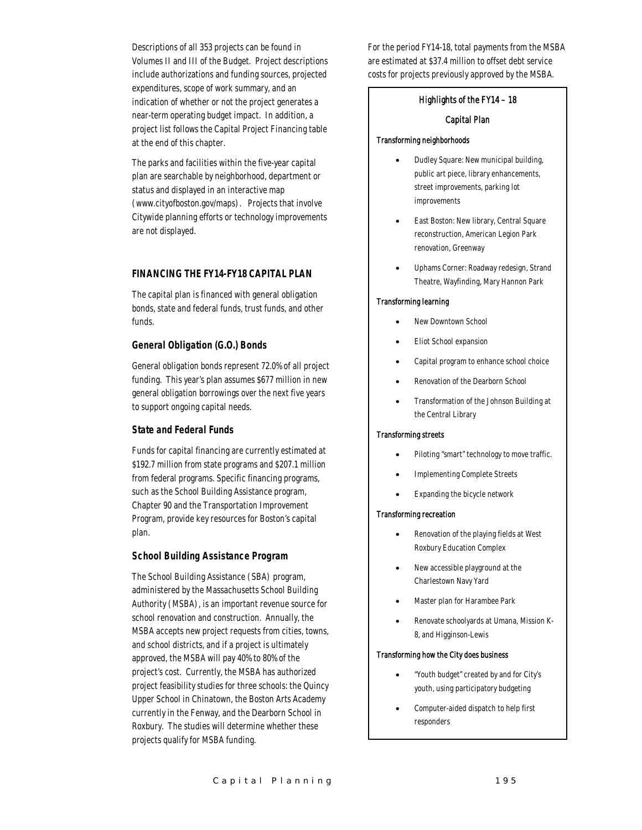Descriptions of all 353 projects can be found in Volumes II and III of the Budget. Project descriptions include authorizations and funding sources, projected expenditures, scope of work summary, and an indication of whether or not the project generates a near-term operating budget impact. In addition, a project list follows the Capital Project Financing table at the end of this chapter.

The parks and facilities within the five-year capital plan are searchable by neighborhood, department or status and displayed in an interactive map (www.cityofboston.gov/maps). Projects that involve Citywide planning efforts or technology improvements are not displayed.

#### *FINANCING THE FY14-FY18 CAPITAL PLAN*

The capital plan is financed with general obligation bonds, state and federal funds, trust funds, and other funds.

#### *General Obligation (G.O.) Bonds*

General obligation bonds represent 72.0% of all project funding. This year's plan assumes \$677 million in new general obligation borrowings over the next five years to support ongoing capital needs.

#### *State and Federal Funds*

Funds for capital financing are currently estimated at \$192.7 million from state programs and \$207.1 million from federal programs. Specific financing programs, such as the School Building Assistance program, Chapter 90 and the Transportation Improvement Program, provide key resources for Boston's capital plan.

#### *School Building Assistance Program*

The School Building Assistance (SBA) program, administered by the Massachusetts School Building Authority (MSBA), is an important revenue source for school renovation and construction. Annually, the MSBA accepts new project requests from cities, towns, and school districts, and if a project is ultimately approved, the MSBA will pay 40% to 80% of the project's cost. Currently, the MSBA has authorized project feasibility studies for three schools: the Quincy Upper School in Chinatown, the Boston Arts Academy currently in the Fenway, and the Dearborn School in Roxbury. The studies will determine whether these projects qualify for MSBA funding.

For the period FY14-18, total payments from the MSBA are estimated at \$37.4 million to offset debt service costs for projects previously approved by the MSBA.

#### Highlights of the FY14 – 18

#### Capital Plan

#### Transforming neighborhoods

- Dudley Square: New municipal building, public art piece, library enhancements, street improvements, parking lot improvements
- East Boston: New library, Central Square reconstruction, American Legion Park renovation, Greenway
- Uphams Corner: Roadway redesign, Strand Theatre, Wayfinding, Mary Hannon Park

#### Transforming learning

- New Downtown School
- Eliot School expansion
- Capital program to enhance school choice
- Renovation of the Dearborn School
- Transformation of the Johnson Building at the Central Library

#### Transforming streets

- Piloting "smart" technology to move traffic.
- Implementing Complete Streets
- Expanding the bicycle network

#### Transforming recreation

- Renovation of the playing fields at West Roxbury Education Complex
- New accessible playground at the Charlestown Navy Yard
- Master plan for Harambee Park
- Renovate schoolyards at Umana, Mission K-8, and Higginson-Lewis

#### Transforming how the City does business

- "Youth budget" created by and for City's youth, using participatory budgeting
- Computer-aided dispatch to help first responders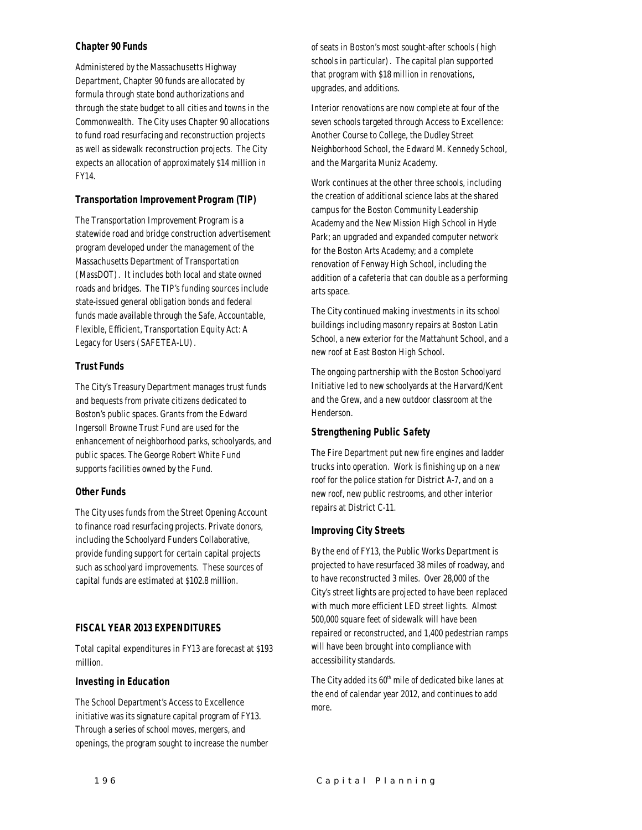#### *Chapter 90 Funds*

Administered by the Massachusetts Highway Department, Chapter 90 funds are allocated by formula through state bond authorizations and through the state budget to all cities and towns in the Commonwealth. The City uses Chapter 90 allocations to fund road resurfacing and reconstruction projects as well as sidewalk reconstruction projects. The City expects an allocation of approximately \$14 million in FY14.

#### *Transportation Improvement Program (TIP)*

The Transportation Improvement Program is a statewide road and bridge construction advertisement program developed under the management of the Massachusetts Department of Transportation (MassDOT). It includes both local and state owned roads and bridges. The TIP's funding sources include state-issued general obligation bonds and federal funds made available through the Safe, Accountable, Flexible, Efficient, Transportation Equity Act: A Legacy for Users (SAFETEA-LU).

#### *Trust Funds*

The City's Treasury Department manages trust funds and bequests from private citizens dedicated to Boston's public spaces. Grants from the Edward Ingersoll Browne Trust Fund are used for the enhancement of neighborhood parks, schoolyards, and public spaces. The George Robert White Fund supports facilities owned by the Fund.

#### *Other Funds*

The City uses funds from the Street Opening Account to finance road resurfacing projects. Private donors, including the Schoolyard Funders Collaborative, provide funding support for certain capital projects such as schoolyard improvements. These sources of capital funds are estimated at \$102.8 million.

#### *FISCAL YEAR 2013 EXPENDITURES*

Total capital expenditures in FY13 are forecast at \$193 million.

#### *Investing in Education*

The School Department's Access to Excellence initiative was its signature capital program of FY13. Through a series of school moves, mergers, and openings, the program sought to increase the number of seats in Boston's most sought-after schools (high schools in particular). The capital plan supported that program with \$18 million in renovations, upgrades, and additions.

Interior renovations are now complete at four of the seven schools targeted through Access to Excellence: Another Course to College, the Dudley Street Neighborhood School, the Edward M. Kennedy School, and the Margarita Muniz Academy.

Work continues at the other three schools, including the creation of additional science labs at the shared campus for the Boston Community Leadership Academy and the New Mission High School in Hyde Park; an upgraded and expanded computer network for the Boston Arts Academy; and a complete renovation of Fenway High School, including the addition of a cafeteria that can double as a performing arts space.

The City continued making investments in its school buildings including masonry repairs at Boston Latin School, a new exterior for the Mattahunt School, and a new roof at East Boston High School.

The ongoing partnership with the Boston Schoolyard Initiative led to new schoolyards at the Harvard/Kent and the Grew, and a new outdoor classroom at the Henderson.

#### *Strengthening Public Safety*

The Fire Department put new fire engines and ladder trucks into operation. Work is finishing up on a new roof for the police station for District A-7, and on a new roof, new public restrooms, and other interior repairs at District C-11.

#### *Improving City Streets*

By the end of FY13, the Public Works Department is projected to have resurfaced 38 miles of roadway, and to have reconstructed 3 miles. Over 28,000 of the City's street lights are projected to have been replaced with much more efficient LED street lights. Almost 500,000 square feet of sidewalk will have been repaired or reconstructed, and 1,400 pedestrian ramps will have been brought into compliance with accessibility standards.

The City added its  $60<sup>th</sup>$  mile of dedicated bike lanes at the end of calendar year 2012, and continues to add more.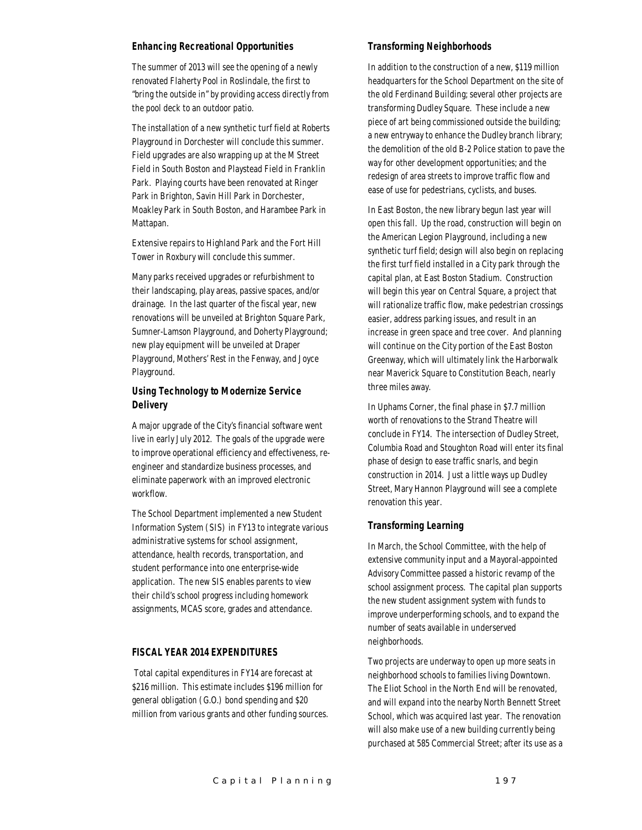#### *Enhancing Recreational Opportunities*

The summer of 2013 will see the opening of a newly renovated Flaherty Pool in Roslindale, the first to "bring the outside in" by providing access directly from the pool deck to an outdoor patio.

The installation of a new synthetic turf field at Roberts Playground in Dorchester will conclude this summer. Field upgrades are also wrapping up at the M Street Field in South Boston and Playstead Field in Franklin Park. Playing courts have been renovated at Ringer Park in Brighton, Savin Hill Park in Dorchester, Moakley Park in South Boston, and Harambee Park in Mattapan.

Extensive repairs to Highland Park and the Fort Hill Tower in Roxbury will conclude this summer.

Many parks received upgrades or refurbishment to their landscaping, play areas, passive spaces, and/or drainage. In the last quarter of the fiscal year, new renovations will be unveiled at Brighton Square Park, Sumner-Lamson Playground, and Doherty Playground; new play equipment will be unveiled at Draper Playground, Mothers' Rest in the Fenway, and Joyce Playground.

#### *Using Technology to Modernize Service Delivery*

A major upgrade of the City's financial software went live in early July 2012. The goals of the upgrade were to improve operational efficiency and effectiveness, reengineer and standardize business processes, and eliminate paperwork with an improved electronic workflow.

The School Department implemented a new Student Information System (SIS) in FY13 to integrate various administrative systems for school assignment, attendance, health records, transportation, and student performance into one enterprise-wide application. The new SIS enables parents to view their child's school progress including homework assignments, MCAS score, grades and attendance.

#### *FISCAL YEAR 2014 EXPENDITURES*

 Total capital expenditures in FY14 are forecast at \$216 million. This estimate includes \$196 million for general obligation (G.O.) bond spending and \$20 million from various grants and other funding sources.

#### *Transforming Neighborhoods*

In addition to the construction of a new, \$119 million headquarters for the School Department on the site of the old Ferdinand Building; several other projects are transforming Dudley Square. These include a new piece of art being commissioned outside the building; a new entryway to enhance the Dudley branch library; the demolition of the old B-2 Police station to pave the way for other development opportunities; and the redesign of area streets to improve traffic flow and ease of use for pedestrians, cyclists, and buses.

In East Boston, the new library begun last year will open this fall. Up the road, construction will begin on the American Legion Playground, including a new synthetic turf field; design will also begin on replacing the first turf field installed in a City park through the capital plan, at East Boston Stadium. Construction will begin this year on Central Square, a project that will rationalize traffic flow, make pedestrian crossings easier, address parking issues, and result in an increase in green space and tree cover. And planning will continue on the City portion of the East Boston Greenway, which will ultimately link the Harborwalk near Maverick Square to Constitution Beach, nearly three miles away.

In Uphams Corner, the final phase in \$7.7 million worth of renovations to the Strand Theatre will conclude in FY14. The intersection of Dudley Street, Columbia Road and Stoughton Road will enter its final phase of design to ease traffic snarls, and begin construction in 2014. Just a little ways up Dudley Street, Mary Hannon Playground will see a complete renovation this year.

#### *Transforming Learning*

In March, the School Committee, with the help of extensive community input and a Mayoral-appointed Advisory Committee passed a historic revamp of the school assignment process. The capital plan supports the new student assignment system with funds to improve underperforming schools, and to expand the number of seats available in underserved neighborhoods.

Two projects are underway to open up more seats in neighborhood schools to families living Downtown. The Eliot School in the North End will be renovated, and will expand into the nearby North Bennett Street School, which was acquired last year. The renovation will also make use of a new building currently being purchased at 585 Commercial Street; after its use as a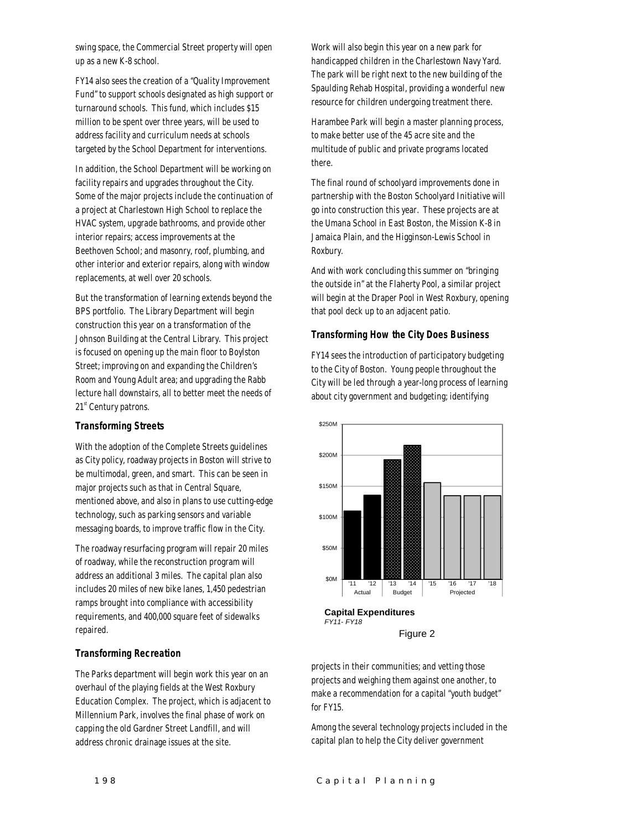swing space, the Commercial Street property will open up as a new K-8 school.

FY14 also sees the creation of a "Quality Improvement Fund" to support schools designated as high support or turnaround schools. This fund, which includes \$15 million to be spent over three years, will be used to address facility and curriculum needs at schools targeted by the School Department for interventions.

In addition, the School Department will be working on facility repairs and upgrades throughout the City. Some of the major projects include the continuation of a project at Charlestown High School to replace the HVAC system, upgrade bathrooms, and provide other interior repairs; access improvements at the Beethoven School; and masonry, roof, plumbing, and other interior and exterior repairs, along with window replacements, at well over 20 schools.

But the transformation of learning extends beyond the BPS portfolio. The Library Department will begin construction this year on a transformation of the Johnson Building at the Central Library. This project is focused on opening up the main floor to Boylston Street; improving on and expanding the Children's Room and Young Adult area; and upgrading the Rabb lecture hall downstairs, all to better meet the needs of 21<sup>st</sup> Century patrons.

#### *Transforming Streets*

With the adoption of the Complete Streets guidelines as City policy, roadway projects in Boston will strive to be multimodal, green, and smart. This can be seen in major projects such as that in Central Square, mentioned above, and also in plans to use cutting-edge technology, such as parking sensors and variable messaging boards, to improve traffic flow in the City.

The roadway resurfacing program will repair 20 miles of roadway, while the reconstruction program will address an additional 3 miles. The capital plan also includes 20 miles of new bike lanes, 1,450 pedestrian ramps brought into compliance with accessibility requirements, and 400,000 square feet of sidewalks repaired.

#### *Transforming Recreation*

The Parks department will begin work this year on an overhaul of the playing fields at the West Roxbury Education Complex. The project, which is adjacent to Millennium Park, involves the final phase of work on capping the old Gardner Street Landfill, and will address chronic drainage issues at the site.

Work will also begin this year on a new park for handicapped children in the Charlestown Navy Yard. The park will be right next to the new building of the Spaulding Rehab Hospital, providing a wonderful new resource for children undergoing treatment there.

Harambee Park will begin a master planning process, to make better use of the 45 acre site and the multitude of public and private programs located there.

The final round of schoolyard improvements done in partnership with the Boston Schoolyard Initiative will go into construction this year. These projects are at the Umana School in East Boston, the Mission K-8 in Jamaica Plain, and the Higginson-Lewis School in Roxbury.

And with work concluding this summer on "bringing the outside in" at the Flaherty Pool, a similar project will begin at the Draper Pool in West Roxbury, opening that pool deck up to an adjacent patio.

#### *Transforming How the City Does Business*

FY14 sees the introduction of participatory budgeting to the City of Boston. Young people throughout the City will be led through a year-long process of learning about city government and budgeting; identifying



projects in their communities; and vetting those projects and weighing them against one another, to make a recommendation for a capital "youth budget" for FY15.

Among the several technology projects included in the capital plan to help the City deliver government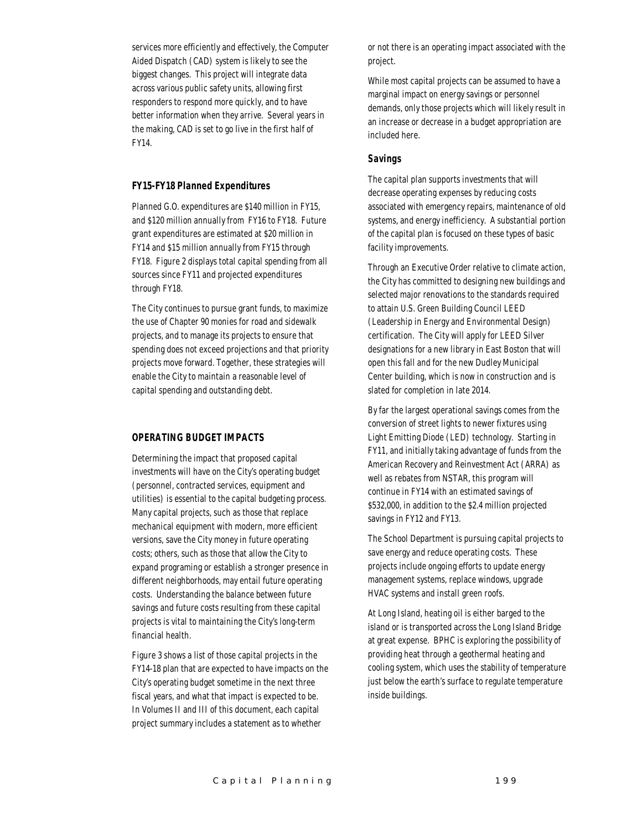services more efficiently and effectively, the Computer Aided Dispatch (CAD) system is likely to see the biggest changes. This project will integrate data across various public safety units, allowing first responders to respond more quickly, and to have better information when they arrive. Several years in the making, CAD is set to go live in the first half of FY14.

#### *FY15-FY18 Planned Expenditures*

Planned G.O. expenditures are \$140 million in FY15, and \$120 million annually from FY16 to FY18. Future grant expenditures are estimated at \$20 million in FY14 and \$15 million annually from FY15 through FY18. Figure 2 displays total capital spending from all sources since FY11 and projected expenditures through FY18.

The City continues to pursue grant funds, to maximize the use of Chapter 90 monies for road and sidewalk projects, and to manage its projects to ensure that spending does not exceed projections and that priority projects move forward. Together, these strategies will enable the City to maintain a reasonable level of capital spending and outstanding debt.

#### *OPERATING BUDGET IMPACTS*

Determining the impact that proposed capital investments will have on the City's operating budget (personnel, contracted services, equipment and utilities) is essential to the capital budgeting process. Many capital projects, such as those that replace mechanical equipment with modern, more efficient versions, save the City money in future operating costs; others, such as those that allow the City to expand programing or establish a stronger presence in different neighborhoods, may entail future operating costs. Understanding the balance between future savings and future costs resulting from these capital projects is vital to maintaining the City's long-term financial health.

Figure 3 shows a list of those capital projects in the FY14-18 plan that are expected to have impacts on the City's operating budget sometime in the next three fiscal years, and what that impact is expected to be. In Volumes II and III of this document, each capital project summary includes a statement as to whether

or not there is an operating impact associated with the project.

While most capital projects can be assumed to have a marginal impact on energy savings or personnel demands, only those projects which will likely result in an increase or decrease in a budget appropriation are included here.

#### *Savings*

The capital plan supports investments that will decrease operating expenses by reducing costs associated with emergency repairs, maintenance of old systems, and energy inefficiency. A substantial portion of the capital plan is focused on these types of basic facility improvements.

Through an Executive Order relative to climate action, the City has committed to designing new buildings and selected major renovations to the standards required to attain U.S. Green Building Council LEED (Leadership in Energy and Environmental Design) certification. The City will apply for LEED Silver designations for a new library in East Boston that will open this fall and for the new Dudley Municipal Center building, which is now in construction and is slated for completion in late 2014.

By far the largest operational savings comes from the conversion of street lights to newer fixtures using Light Emitting Diode (LED) technology. Starting in FY11, and initially taking advantage of funds from the American Recovery and Reinvestment Act (ARRA) as well as rebates from NSTAR, this program will continue in FY14 with an estimated savings of \$532,000, in addition to the \$2.4 million projected savings in FY12 and FY13.

The School Department is pursuing capital projects to save energy and reduce operating costs. These projects include ongoing efforts to update energy management systems, replace windows, upgrade HVAC systems and install green roofs.

At Long Island, heating oil is either barged to the island or is transported across the Long Island Bridge at great expense. BPHC is exploring the possibility of providing heat through a geothermal heating and cooling system, which uses the stability of temperature just below the earth's surface to regulate temperature inside buildings.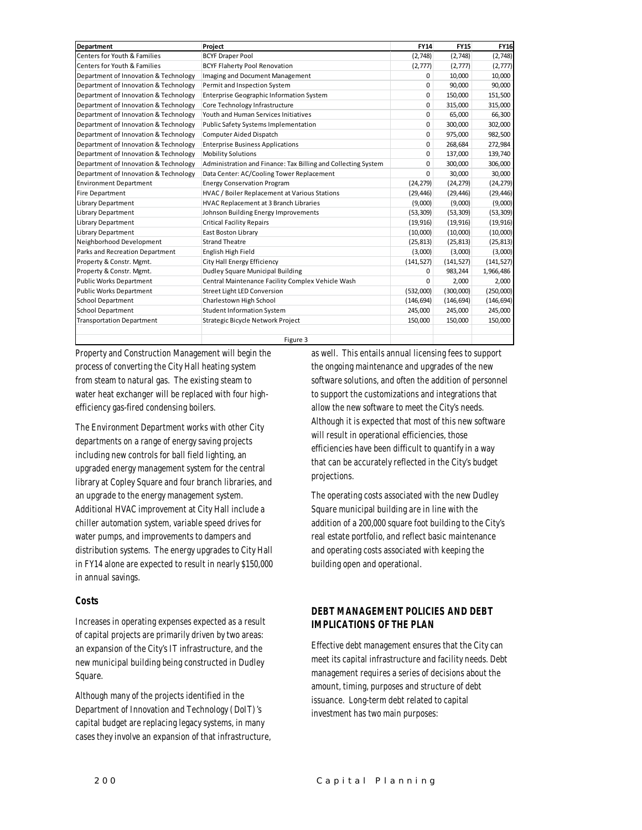| <b>Department</b>                     | Project                                                       | <b>FY14</b> | <b>FY15</b> | <b>FY16</b> |
|---------------------------------------|---------------------------------------------------------------|-------------|-------------|-------------|
| Centers for Youth & Families          | <b>BCYF Draper Pool</b>                                       | (2,748)     | (2,748)     | (2,748)     |
| Centers for Youth & Families          | <b>BCYF Flaherty Pool Renovation</b>                          | (2, 777)    | (2,777)     | (2,777)     |
| Department of Innovation & Technology | Imaging and Document Management                               | 0           | 10,000      | 10,000      |
| Department of Innovation & Technology | Permit and Inspection System                                  | 0           | 90,000      | 90,000      |
| Department of Innovation & Technology | <b>Enterprise Geographic Information System</b>               | 0           | 150,000     | 151,500     |
| Department of Innovation & Technology | Core Technology Infrastructure                                | 0           | 315,000     | 315,000     |
| Department of Innovation & Technology | Youth and Human Services Initiatives                          | 0           | 65,000      | 66,300      |
| Department of Innovation & Technology | Public Safety Systems Implementation                          | 0           | 300,000     | 302,000     |
| Department of Innovation & Technology | <b>Computer Aided Dispatch</b>                                | 0           | 975,000     | 982,500     |
| Department of Innovation & Technology | <b>Enterprise Business Applications</b>                       | 0           | 268,684     | 272,984     |
| Department of Innovation & Technology | <b>Mobility Solutions</b>                                     | 0           | 137,000     | 139,740     |
| Department of Innovation & Technology | Administration and Finance: Tax Billing and Collecting System | 0           | 300,000     | 306,000     |
| Department of Innovation & Technology | Data Center: AC/Cooling Tower Replacement                     | 0           | 30,000      | 30,000      |
| <b>Environment Department</b>         | <b>Energy Conservation Program</b>                            | (24, 279)   | (24, 279)   | (24, 279)   |
| <b>Fire Department</b>                | HVAC / Boiler Replacement at Various Stations                 | (29, 446)   | (29, 446)   | (29, 446)   |
| Library Department                    | HVAC Replacement at 3 Branch Libraries                        | (9,000)     | (9,000)     | (9,000)     |
| <b>Library Department</b>             | Johnson Building Energy Improvements                          | (53, 309)   | (53, 309)   | (53, 309)   |
| Library Department                    | <b>Critical Facility Repairs</b>                              | (19, 916)   | (19, 916)   | (19, 916)   |
| Library Department                    | East Boston Library                                           | (10,000)    | (10,000)    | (10,000)    |
| Neighborhood Development              | <b>Strand Theatre</b>                                         | (25, 813)   | (25, 813)   | (25, 813)   |
| Parks and Recreation Department       | English High Field                                            | (3,000)     | (3,000)     | (3,000)     |
| Property & Constr. Mgmt.              | City Hall Energy Efficiency                                   | (141, 527)  | (141, 527)  | (141, 527)  |
| Property & Constr. Mgmt.              | Dudley Square Municipal Building                              | 0           | 983,244     | 1,966,486   |
| <b>Public Works Department</b>        | Central Maintenance Facility Complex Vehicle Wash             | $\Omega$    | 2,000       | 2,000       |
| Public Works Department               | Street Light LED Conversion                                   | (532,000)   | (300,000)   | (250,000)   |
| <b>School Department</b>              | Charlestown High School                                       | (146, 694)  | (146, 694)  | (146, 694)  |
| <b>School Department</b>              | <b>Student Information System</b>                             | 245,000     | 245,000     | 245,000     |
| <b>Transportation Department</b>      | Strategic Bicycle Network Project                             | 150,000     | 150,000     | 150,000     |
|                                       | Figure 3                                                      |             |             |             |

Property and Construction Management will begin the process of converting the City Hall heating system from steam to natural gas. The existing steam to water heat exchanger will be replaced with four highefficiency gas-fired condensing boilers.

The Environment Department works with other City departments on a range of energy saving projects including new controls for ball field lighting, an upgraded energy management system for the central library at Copley Square and four branch libraries, and an upgrade to the energy management system. Additional HVAC improvement at City Hall include a chiller automation system, variable speed drives for water pumps, and improvements to dampers and distribution systems. The energy upgrades to City Hall in FY14 alone are expected to result in nearly \$150,000 in annual savings.

#### *Costs*

Increases in operating expenses expected as a result of capital projects are primarily driven by two areas: an expansion of the City's IT infrastructure, and the new municipal building being constructed in Dudley Square.

Although many of the projects identified in the Department of Innovation and Technology (DoIT)'s capital budget are replacing legacy systems, in many cases they involve an expansion of that infrastructure, as well. This entails annual licensing fees to support the ongoing maintenance and upgrades of the new software solutions, and often the addition of personnel to support the customizations and integrations that allow the new software to meet the City's needs. Although it is expected that most of this new software will result in operational efficiencies, those efficiencies have been difficult to quantify in a way that can be accurately reflected in the City's budget projections.

The operating costs associated with the new Dudley Square municipal building are in line with the addition of a 200,000 square foot building to the City's real estate portfolio, and reflect basic maintenance and operating costs associated with keeping the building open and operational.

#### *DEBT MANAGEMENT POLICIES AND DEBT IMPLICATIONS OF THE PLAN*

Effective debt management ensures that the City can meet its capital infrastructure and facility needs. Debt management requires a series of decisions about the amount, timing, purposes and structure of debt issuance. Long-term debt related to capital investment has two main purposes: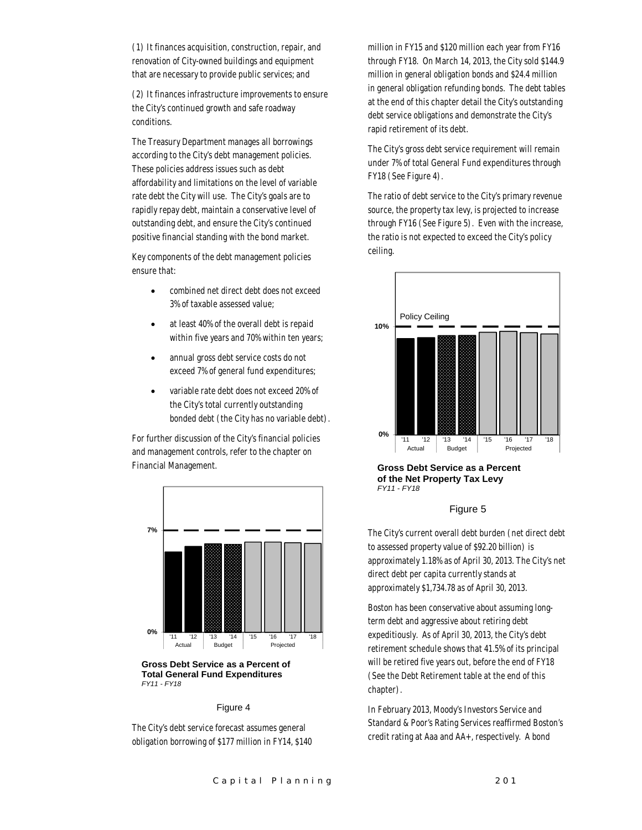(1) It finances acquisition, construction, repair, and renovation of City-owned buildings and equipment that are necessary to provide public services; and

(2) It finances infrastructure improvements to ensure the City's continued growth and safe roadway conditions.

The Treasury Department manages all borrowings according to the City's debt management policies. These policies address issues such as debt affordability and limitations on the level of variable rate debt the City will use. The City's goals are to rapidly repay debt, maintain a conservative level of outstanding debt, and ensure the City's continued positive financial standing with the bond market.

Key components of the debt management policies ensure that:

- combined net direct debt does not exceed 3% of taxable assessed value;
- at least 40% of the overall debt is repaid within five years and 70% within ten years;
- annual gross debt service costs do not exceed 7% of general fund expenditures;
- variable rate debt does not exceed 20% of the City's total currently outstanding bonded debt (the City has no variable debt).

For further discussion of the City's financial policies and management controls, refer to the chapter on Financial Management.





#### Figure 4

The City's debt service forecast assumes general obligation borrowing of \$177 million in FY14, \$140 million in FY15 and \$120 million each year from FY16 through FY18. On March 14, 2013, the City sold \$144.9 million in general obligation bonds and \$24.4 million in general obligation refunding bonds. The debt tables at the end of this chapter detail the City's outstanding debt service obligations and demonstrate the City's rapid retirement of its debt.

The City's gross debt service requirement will remain under 7% of total General Fund expenditures through FY18 (See Figure 4).

The ratio of debt service to the City's primary revenue source, the property tax levy, is projected to increase through FY16 (See Figure 5). Even with the increase, the ratio is not expected to exceed the City's policy ceiling.



**Gross Debt Service as a Percent of the Net Property Tax Levy** *FY11 - FY18*

#### Figure 5

The City's current overall debt burden (net direct debt to assessed property value of \$92.20 billion) is approximately 1.18% as of April 30, 2013. The City's net direct debt per capita currently stands at approximately \$1,734.78 as of April 30, 2013.

Boston has been conservative about assuming longterm debt and aggressive about retiring debt expeditiously. As of April 30, 2013, the City's debt retirement schedule shows that 41.5% of its principal will be retired five years out, before the end of FY18 (See the Debt Retirement table at the end of this chapter).

In February 2013, Moody's Investors Service and Standard & Poor's Rating Services reaffirmed Boston's credit rating at Aaa and AA+, respectively. A bond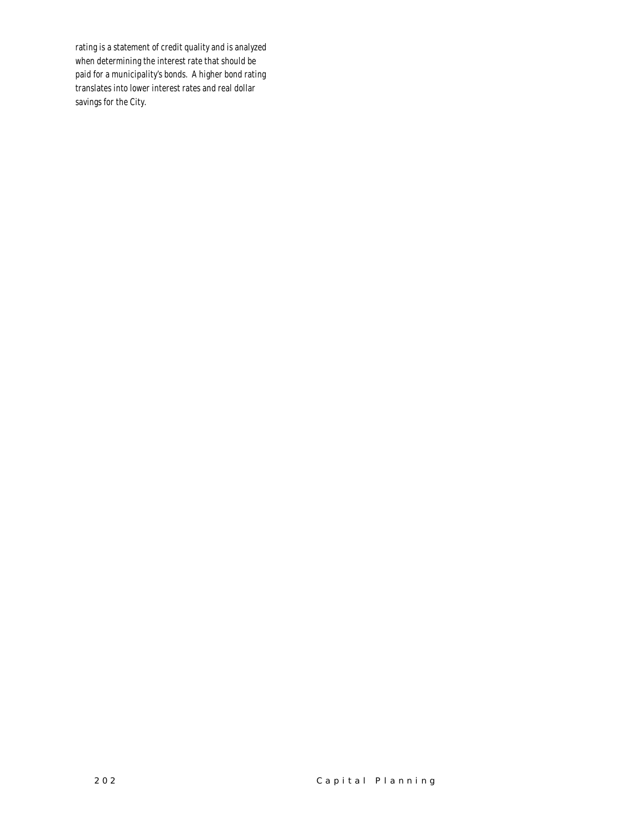rating is a statement of credit quality and is analyzed when determining the interest rate that should be paid for a municipality's bonds. A higher bond rating translates into lower interest rates and real dollar savings for the City.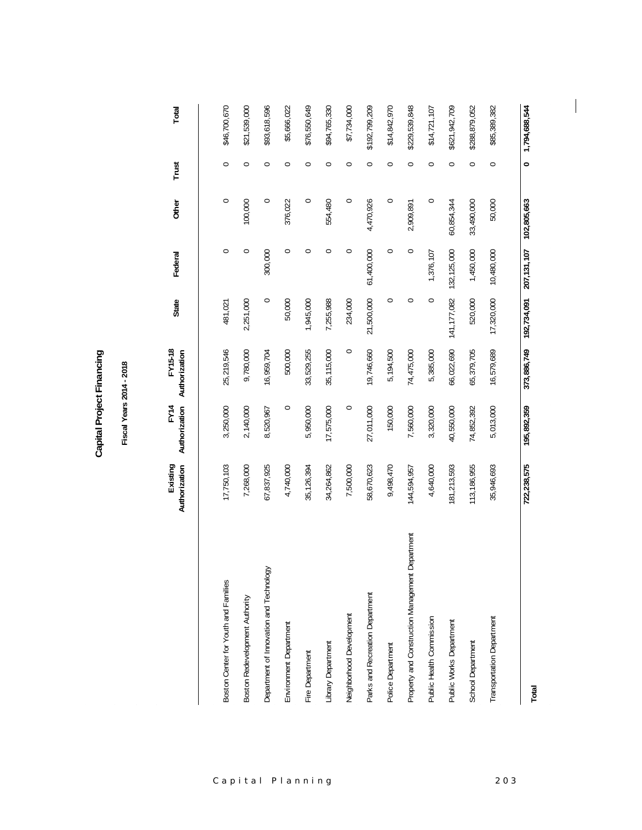| ī |
|---|
|   |
|   |
|   |
|   |
|   |
|   |
|   |
|   |
|   |
| ۱ |
|   |
|   |
|   |
|   |
|   |
|   |
|   |
|   |

**Fiscal Years 2014 - 2018 Fiscal Years 2014 - 2018**

|                                                    | Existing<br>Authorization | Authorization<br><b>FY14</b> | FY15-18<br>Authorization | State                               | Federal      | Other       | Trust     | Total         |
|----------------------------------------------------|---------------------------|------------------------------|--------------------------|-------------------------------------|--------------|-------------|-----------|---------------|
|                                                    |                           |                              |                          |                                     |              |             |           |               |
| Boston Center for Youth and Families               | 17,750,103                | 3,250,000                    | 25,219,546               | 481,021                             | $\circ$      | $\circ$     | $\circ$   | \$46,700,670  |
| Boston Redevelopment Authority                     | 7,268,000                 | 2,140,000                    | 9,780,000                | 2,251,000                           | 0            | 100,000     | $\circ$   | \$21,539,000  |
| Department of Innovation and Technology            | 67,837,925                | 8,520,967                    | 16,959,704               | $\circ$                             | 300,000      | $\circ$     | $\circ$   | \$93,618,596  |
| Environment Department                             | 4,740,000                 | $\circ$                      | 500,000                  | 50,000                              | 0            | 376,022     | $\circ$   | \$5,666,022   |
| Fire Department                                    | 35, 126, 394              | 5,950,000                    | 33,529,255               | 1,945,000                           | 0            | 0           | $\circ$   | \$76,550,649  |
| Library Department                                 | 34,264,862                | 17,575,000                   | 35,115,000               | 7,255,988                           | 0            | 554,480     | $\circ$   | \$94,765,330  |
| Neighborhood Development                           | 7,500,000                 | $\circ$                      | $\circ$                  | 234,000                             | 0            | 0           | $\circ$   | \$7,734,000   |
| Parks and Recreation Department                    | 58,670,623                | 27,011,000                   | 19,746,660               | 21,500,000                          | 61,400,000   | 4,470,926   | $\circ$   | \$192,799,209 |
| Police Department                                  | 9,498,470                 | 150,000                      | 5,194,500                | $\circ$                             | 0            | $\circ$     | $\circ$   | \$14,842,970  |
| Department<br>Property and Construction Management | 144,594,957               | 7,560,000                    | 74,475,000               | $\circ$                             | $\circ$      | 2,909,891   | $\circ$   | \$229,539,848 |
| Public Health Commission                           | 4,640,000                 | 3,320,000                    | 5,385,000                | $\circ$                             | 1,376,107    | $\circ$     | $\circ$   | \$14,721,107  |
| Public Works Department                            | 181,213,593               | 40,550,000                   | 66,022,690               | 141, 177, 082                       | 132, 125,000 | 60,854,344  | $\circ$   | \$621,942,709 |
| School Department                                  | 113,186,955               | 74,852,392                   | 35,379,705               | 520,000                             | 1,450,000    | 33,490,000  | $\circ$   | \$288,879,052 |
| <b>Transportation Department</b>                   | 35,946,693                | 5,013,000                    | 16,579,689               | 17,320,000                          | 10,480,000   | 50,000      | $\circ$   | \$85,389,382  |
|                                                    |                           |                              |                          |                                     |              |             |           |               |
| Total                                              | 722,238,575               | 195,892,359                  |                          | 373,886,749 192,734,091 207,131,107 |              | 102,805,663 | $\bullet$ | 1,794,688,544 |

 $\overline{\phantom{a}}$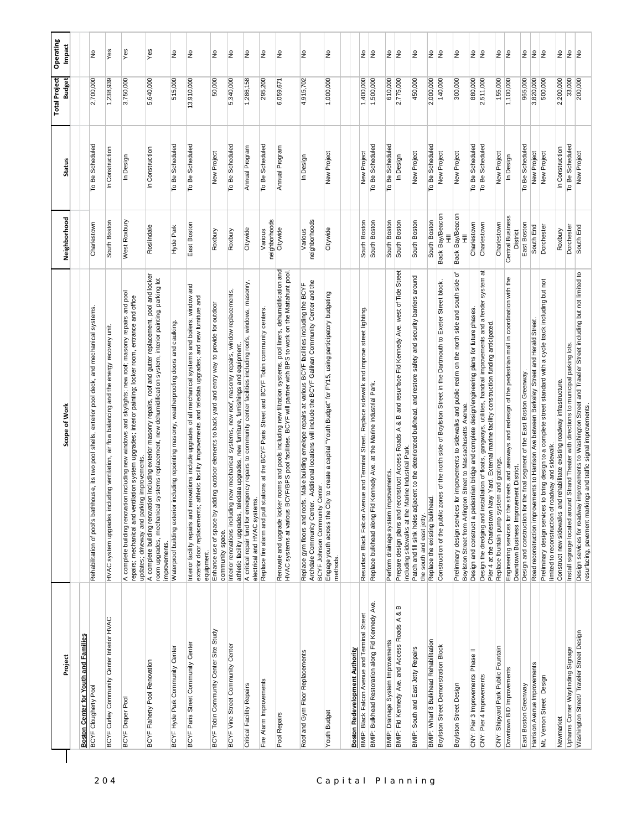|                                                   |                                                                                                                                                                                                                                                                  |                              |                    | <b>Total Project</b> |                     |
|---------------------------------------------------|------------------------------------------------------------------------------------------------------------------------------------------------------------------------------------------------------------------------------------------------------------------|------------------------------|--------------------|----------------------|---------------------|
| Project                                           | Scope of Work                                                                                                                                                                                                                                                    | Neighborhood                 | Status             | <b>Budget</b>        | Operating<br>Impact |
| Boston Center for Youth and Families              |                                                                                                                                                                                                                                                                  |                              |                    |                      |                     |
| BCYF Clougherty Pool                              | Rehabilitation of pool's bathhouse, its two pool shells, exterior pool deck, and mechanical systems                                                                                                                                                              | Charlestown                  | To Be Scheduled    | 2,700,000            | £                   |
| BCYF Curley Community Center Interior HVAC        | ding ventilation, air flow balancing and the energy recovery unit.<br>HVAC system upgrades inclu                                                                                                                                                                 | South Boston                 | In Construction    | 1,238,939            | Yes                 |
| BCYF Draper Pool                                  | A complete building renovation including new windows and skylights; new roof; masonry repairs and pool<br>repairs; mechanical and vertilation system upgrades; interior painting; locker room, entrance and office<br>updates; driveway and parking improvements | West Roxbury                 | In Design          | 3,750,000            | <b>Yes</b>          |
| BCYF Flaherty Pool Renovation                     | A complete building renovation including exterior masonry repairs, roof and gutter replacement, pool and locker<br>room upgrades, mechanical systems replacement, new dehumidification system, interior painting, parking lot<br>improvements                    | Roslindale                   | In Construction    | 5,640,000            | Ÿes                 |
| BCYF Hyde Park Community Center                   | Waterproof building exterior including repointing masonry, weatherproofing doors and caulking                                                                                                                                                                    | Hyde Park                    | To Be Scheduled    | 515,000              | £                   |
| BCYF Paris Street Community Center                | ovations include upgrades of all mechanical systems and boilers; window and<br>exterior door replacements; athletic facility improvements and teledata upgrades; and new furniture and<br>Interior facility repairs and rer<br>equipment.                        | East Boston                  | To Be Scheduled    | 13,910,000           | £                   |
| BCYF Tobin Community Center Site Study            | to provide for outdoor<br>Enhance use of space by adding outdoor elements to back yard and entry way<br>community space.                                                                                                                                         | Roxbury                      | New Project        | 50,000               | £                   |
| BCYF Vine Street Community Center                 | new mechanical systems, new roof, masonry repairs, window replacements,<br>athletic facility upgrades, teledata upgrades, new furniture, furnishings and equipment<br>Interior renovations including                                                             | Roxbury                      | To Be Scheduled    | 5,340,000            | ٤                   |
| Critical Facility Repairs                         | A critical repair fund for emergency repairs to community center facilities including roofs, windows, masonry,<br>electrical and HVAC systems.                                                                                                                   | Citywide                     | Annual Program     | 1,286,158            | £                   |
| Fire Alarm Improvements                           | Replace fire alarm and pull stations at the BCYF Paris Street and BCYF Tobin community centers.                                                                                                                                                                  | neighborhoods<br>Various     | To Be Scheduled    | 295,200              | ١£                  |
| Pool Repairs                                      | rooms and pools including new filtration systems, pool liners, dehumidification and<br>HVAC systems at various BCYF/BPS pool facilities. BCYF will partner with BPS to work on the Mattahunt pool<br>Renovate and upgrade locker                                 | Citywide                     | Annual Program     | 6,059,67             | £                   |
| Roof and Gym Floor Replacements                   | Additional locations will include the BCYF Gallivan Community Center and the<br>Make building envelope repairs at various BCYF facilities including the BCYF<br>BCYF Johnson Community Center<br>Replace gym floors and roofs<br>Archdale Community Center.      | neighborhoods<br>Various     | In Design          | 4,915,702            | £                   |
| Youth Budget                                      | Engage youth across the City to create a capital "Youth Budget" for FY15, using participatory budgeting<br>methods                                                                                                                                               | Citywide                     | New Project        | 1,000,000            | £                   |
| <b>Boston Redevelopment Authority</b>             |                                                                                                                                                                                                                                                                  |                              |                    |                      |                     |
| BMIP: Black Falcon Avenue and Terminal Street     | nue and Terminal Street. Replace sidewalk and improve street lighting<br>Resurface Black Falcon Aver                                                                                                                                                             | South Boston                 | New Project        | 1,400,000            | £                   |
| BMIP: Bulkhead Restoration along Fid Kennedy Ave. | Replace bulkhead along Fid Kennedy Ave. at the Marine Industrial Park.                                                                                                                                                                                           | South Boston                 | To Be Scheduled    | 1,500,000            | ١£                  |
| BMIP: Drainage System Improvements                | Perform drainage system improvements                                                                                                                                                                                                                             | South Boston                 | Be Scheduled<br>ءِ | 610,000              | Ιş                  |
| Б<br>BMIP: Fid Kennedy Ave. and Access Roads A &  | Prepare design plans and reconstruct Access Roads A & B and resurface Fid Kennedy Ave. west of Tide Street<br>including sidewalks at the Marine Industrial Park                                                                                                  | South Boston                 | In Design          | 2,775,000            | ١£                  |
| BMIP: South and East Jetty Repairs                | Patch and fill sink holes adjacent to the deteriorated bulkhead, and restore safety and security barriers around<br>the south and east jetty.                                                                                                                    | South Boston                 | New Project        | 450,000              | ٤                   |
| BMIP: Wharf 8 Bulkhead Rehabilitation             | Replace the existing bulkhead.                                                                                                                                                                                                                                   | South Boston                 | To Be Scheduled    | 2,000,000            | ١£                  |
| Boylston Street Demonstration Block               | Construction of the public zones of the north side of Boylston Street in the Dartmouth to Exeter Street block.                                                                                                                                                   | Back Bay/Beacon<br>Ī         | New Project        | 140,000              | $\frac{9}{2}$       |
| Boylston Street Design                            | Preliminary design services for improvements to sidewalks and public realm on the north side and south side of<br>Boylston Street from Arlington Street to Massachusetts Avenue                                                                                  | Back Bay/Beacon              | New Project        | 300,000              | £                   |
| CNY: Pier 3 Improvements Phase II                 | Design and construct a pedestrian bridge and complete design/engineering plans for future phases.                                                                                                                                                                | Charlestown                  | To Be Scheduled    | 880,000              | ٤                   |
| CNY: Pier 4 Improvements                          | Design the dredging and installation of floats, gangways, utilities, handrail improvements and a fender system at<br>Pier 4 at the Charlestown Navy Yard. External marine facility construction funding anticipated.                                             | Charlestown                  | To Be Scheduled    | 2,511,000            | ١£                  |
| CNY: Shipyard Park Public Fountain                | Replace fountain pump system and gratings.                                                                                                                                                                                                                       | Charlestown                  | New Project        | 155,000              | <sub>2</sub>        |
| Downtown BID Improvements                         | Engineering services for the streets and areaways and redesign of the pedestrian mall in coordination with the<br>Downtown Business Improvement District                                                                                                         | Central Business<br>District | In Design          | 1,100,000            | Е                   |
| East Boston Greenway                              | Design and construction for the final segment of the East Boston Greenway.                                                                                                                                                                                       | East Boston                  | To Be Scheduled    | 965,000              | ١£                  |
| Harrison Avenue Improvements                      | Road reconstruction improvements to Harrison Ave between Berkeley Street and Herald Street.                                                                                                                                                                      | South End                    | New Project        | 3,820,000            | $\frac{1}{2}$       |
| Mt. Vernon Street Design                          | Preliminary design services to bring design to a complete street standard with a cycle track including but not<br>limited to reconstruction of roadway and sidewall                                                                                              | Dorchester                   | New Project        | 500,000              | Ιş                  |
| Newmarket                                         | rehabilitate existing roadway infrastructure.<br>Construct new sidewalks and                                                                                                                                                                                     | Roxbury                      | In Construction    | 2,200,000            | ξ                   |
| Uphams Corner Wayfinding Signage                  | Install signage located around Strand Theater with directions to municipal parking lots.                                                                                                                                                                         | Dorchester                   | To Be Scheduled    | 33,000               | $\frac{9}{2}$       |
| Washington Street/Traveler Street Design          | improvements to Washington Street and Traveler Street including but not limited to<br>resurfacing, pavement markings and traffic signal improvements.<br>Design services for roadway                                                                             | South End                    | New Project        | 200,000              | $\frac{1}{2}$       |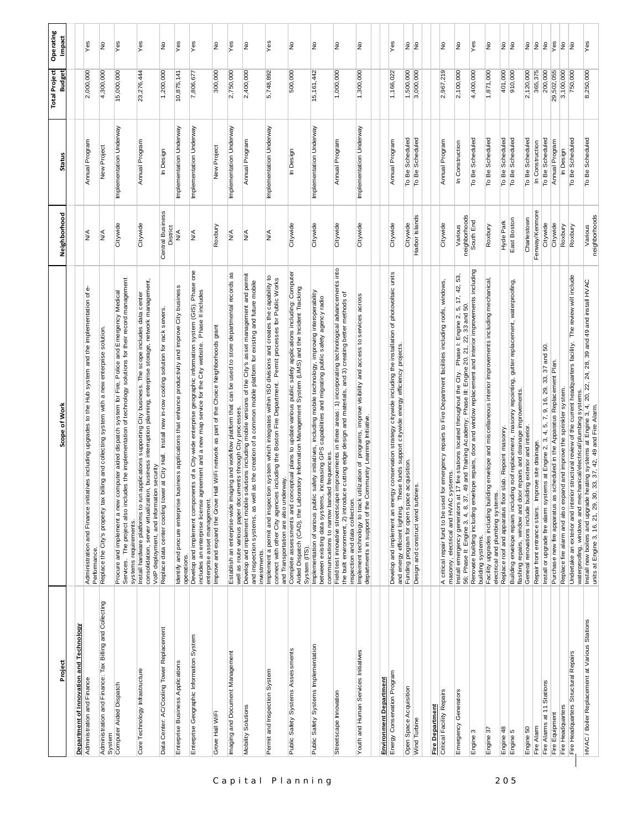| Project                                                          | Scope of Work                                                                                                                                                                                                                                                                                        | Neighborhood                        | Status                             | <b>Total Project</b><br><b>Budget</b> | Operating<br>Impact |
|------------------------------------------------------------------|------------------------------------------------------------------------------------------------------------------------------------------------------------------------------------------------------------------------------------------------------------------------------------------------------|-------------------------------------|------------------------------------|---------------------------------------|---------------------|
|                                                                  |                                                                                                                                                                                                                                                                                                      |                                     |                                    |                                       |                     |
| Department of Innovation and Technology                          |                                                                                                                                                                                                                                                                                                      |                                     |                                    |                                       |                     |
| Administration and Finance                                       | φ<br>ives including upgrades to the Hub system and the implementation of<br>Administration and Finance initiat<br>Performance                                                                                                                                                                        | l≶                                  | Annual Program                     | 2,000,000                             | $\overline{Y}$ es   |
| Administration and Finance: Tax Billing and Collecting<br>System | illing and collecting system with a new enterprise solution<br>Replace the City's property tax bi                                                                                                                                                                                                    | $\frac{4}{2}$                       | New Project                        | 4,300,000                             | $\frac{1}{2}$       |
| Computer Aided Dispatch                                          | Services. The project also includes the implementation of technology solutions for their record management<br>Procure and implement a new computer aided dispatch system for Fire, Police and Emergency Medical<br>systems requirements.                                                             | Citywide                            | Implementation Underway            | 15,000,000                            | Yes                 |
| Core Technology Infrastructure                                   | consolidation, server virtualization, business interruption planning, enterprise storage, network management,<br>Install hardware platforms to run applications supporting City business. The scope includes data center<br>VoIP deployment, and information security                                | Citywide                            | Annual Program                     | 23,276,444                            | $\overline{Y}$ es   |
| Data Center: AC/Cooling Tower Replacement                        | Replace data center cooling tower at City Hall. Install new in-row cooling solution for rack servers                                                                                                                                                                                                 | <b>Central Business</b><br>District | In Design                          | 1,200,000                             | ž                   |
| Enterprise Business Applications                                 | dentify and procure enterprise business applications that enhance productivity and improve City business<br>operations.                                                                                                                                                                              | ≸                                   | Implementation Underway            | 10,875,141                            | $\overline{Y}$ es   |
| Enterprise Geographic Information System                         | one<br>Develop and implement components of a City-wide enterprise geographic information system (GIS). Phase<br>includes an enterprise license agreement and a new map service for the City website. Phase II includes<br>enterprise asset management.                                               | $\frac{1}{2}$                       | Implementation Underway            | 7,806,677                             | Yes                 |
| Grove Hall WiFi                                                  | Improve and expand the Grove Hall WiFi network as part of the Choice Neighborhoods grant                                                                                                                                                                                                             | Roxbury                             | New Project                        | 300,000                               | $\frac{1}{2}$       |
| Imaging and Document Management                                  | and workflow platform that can be used to store departmental records as<br>well as route various paper documents through City processes<br>Establish an enterprise-wide imaging                                                                                                                      | $\stackrel{\leq}{\geq}$             | Implementation Underway            | 2,750,000                             | $\overline{Y}$ es   |
| Mobility Solutions                                               | Develop and implement mobile solutions including mobile versions of the City's asset management and permit<br>as the creation of a common mobile platform for existing and future mobile<br>and inspection systems, as well<br>investments.                                                          | $\lessgtr$                          | Annual Program                     | 2,400,000                             | $\frac{1}{2}$       |
| Permit and Inspection System                                     | Implement a permit and inspection system which integrates within ISD divisions and creates the capability to<br>connect with other City agencies including the Boston Fire Department. Permit processes for Public Works<br>and Transportation are also underway.                                    | $\frac{1}{2}$                       | Implementation Underway            | 5,748,892                             | $\overline{Y}$ es   |
| Public Safety Systems Assessments                                | Complete assessments and conceptual plans to update various public safety applications including: Computer<br>Aided Dispatch (CAD), the Laboratory Information Management System (LIMS) and the Incident Tracking<br>System (ITS).                                                                   | Citywide                            | In Design                          | 500,000                               | $\frac{1}{2}$       |
| Public Safety Systems Implementation                             | Implementation of various public safety initiatives, including mobile technology, improving interoperability<br>between existing data systems, increasing GPS capabilities and migrating public safety agency radio<br>communications to narrow banded frequencies<br>between existing data systems, | Citywide                            | Implementation Underway            | 15,161,442                            | ş                   |
| Streetscape Innovation                                           | Field test innovative streetscape improvements in three areas: 1) incorporating technological advancements into<br>the built environment, 2) introduce cutting edge design and materials, and 3) creating better methods of<br>inspection and data collection.                                       | Citywide                            | Annual Program                     | 1,000,000                             | $\frac{1}{2}$       |
| Youth and Human Services Initiatives                             | programs, improve visibility and access to services across<br>Implement technology to track utilization of programs, impr<br>departments in support of the Community Learning Initiative.                                                                                                            | Citywide                            | Implementation Underway            | 1,300,000                             | $\frac{1}{2}$       |
| Environment Department                                           |                                                                                                                                                                                                                                                                                                      |                                     |                                    |                                       |                     |
| Energy Conservation Program                                      | nergy conservation strategy citywide including the installation of photovoltaic units<br>These funds support citywide energy efficiency projects.<br>Develop and implement an energy<br>and energy efficient lighting.                                                                               | Citywide                            | Annual Program                     | 1,166,022                             | $\bar{Y}$ es        |
| Open Space Acquisition                                           | acquisition.<br>Funding program for open space                                                                                                                                                                                                                                                       | Citywide                            | To Be Scheduled                    | 1,500,000                             | $\frac{1}{2}$       |
| Wind Turbine                                                     | Design and construct wind turbines.                                                                                                                                                                                                                                                                  | Harbor Islands                      | To Be Scheduled                    | 3,000,000                             | ž                   |
| <b>Fire Department</b>                                           |                                                                                                                                                                                                                                                                                                      |                                     |                                    |                                       |                     |
| Critical Facility Repairs                                        | critical repair fund to be used for emergency repairs to Fire Department facilities including roofs, windows,<br>stems<br>masonry, electrical and HVAC sy<br>$\prec$                                                                                                                                 | Citywide                            | Annual Program                     | 2,967,219                             | ş                   |
| Emergency Generators                                             | 53,<br>17 fire stations located throughout the City.  Phase I: Engine 2, 5, 17, 42,<br>49 and Training Academy; Phase III: Engine 20, 21, 22, 33 and 50.<br>49 and Training Academy; Phase III: Engine 20, 21,<br>Install emergency generators at<br>56; Phase II: Engine 3, 4, 8, 37                | neighborhoods<br>Various            | In Construction                    | 2,100,000                             | å                   |
| Engine <sub>3</sub>                                              | Renovate building including envelope repairs, door and window replacement and interior improvements including<br>building systems.                                                                                                                                                                   | South End                           | To Be Scheduled                    | 4,400,000                             | Yes                 |
| Engine 37                                                        | Facility upgrades including building envelope and miscellaneous interior improvements including mechanical<br>electrical and plumbing systems.                                                                                                                                                       | Roxbury                             | To Be Scheduled                    | 1,871,000                             | $\frac{1}{2}$       |
| Engine 48                                                        | slab. Repoint masonry.<br>Replace roof and apparatus floor                                                                                                                                                                                                                                           | Hyde Park                           | To Be Scheduled                    | 401,000                               | $\vert z \vert$     |
| Engine 5                                                         | Building envelope repairs including roof replacement, masonry repointing, gutter replacement, waterproofing,<br>flashing repairs, window and door repairs and drainage improvements.                                                                                                                 | East Boston                         | To Be Scheduled                    | 910,000                               | ş                   |
| Engine 50                                                        | General renovations include building exterior and interior.                                                                                                                                                                                                                                          | Charlestown                         | To Be Scheduled                    | 2,120,000                             | å                   |
| Fire Alarms at 11 Stations<br>Fire Alarm                         | Install or upgrade fire alarm systems at Engine 2, 3, 4, 5, 7, 9, 16, 29, 33, 37 and 50.<br>Repair front entrance stairs. Improve site drainage                                                                                                                                                      | Fenway/Kenmore<br>Citywide          | To Be Scheduled<br>In Construction | 365,375<br>200,000                    | ę<br>2              |
| Fire Equipment                                                   | Purchase new fire apparatus as scheduled in the Apparatus Replacement Plan                                                                                                                                                                                                                           | Citywide                            | Annual Program                     | 29,502,055                            | $rac{}{\sqrt{25}}$  |
| Fire Headquarters                                                | Replace fire alarm and also expand and improve the sprinkler system                                                                                                                                                                                                                                  | Roxbury                             | In Design                          | 3,100,000                             | $\frac{1}{2}$       |
| Fire Headquarters Structural Repairs                             | structural review of the current headquarters facility. The review will include<br>Undertake an exterior and interior                                                                                                                                                                                | Roxbury                             | To Be Scheduled                    | 750,000                               | å                   |
| HVAC / Boiler Replacement at Various Stations                    | waterproofing, windows and mechanical/electrical/plumbing systems.<br>Install new boilers and upgrade heating systems at Engine 3, 4, 20, 22, 24, 28, 39 and 49 and install HVAC<br>units at Engine 3, 16, 21, 29, 30, 33, 37, 42, 4                                                                 | neighborhoods<br>Various            | To Be Scheduled                    | 8,250,000                             | Yes                 |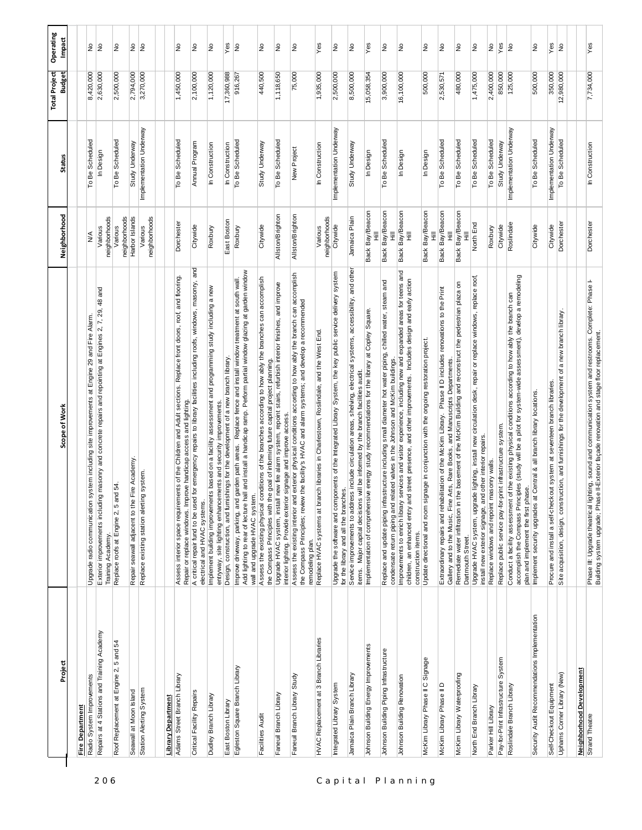|                                               |                                                                                                                                                                                                                                                                      |                          |                         | <b>Total Project</b> | Operating         |
|-----------------------------------------------|----------------------------------------------------------------------------------------------------------------------------------------------------------------------------------------------------------------------------------------------------------------------|--------------------------|-------------------------|----------------------|-------------------|
| Project                                       | Scope of Work                                                                                                                                                                                                                                                        | Neighborhood             | Status                  | <b>Budget</b>        | Impact            |
| Fire Department                               |                                                                                                                                                                                                                                                                      |                          |                         |                      |                   |
| Radio System Improvements                     | stem including site improvements at Engine 29 and Fire Alarm.<br>Upgrade radio communication sy                                                                                                                                                                      | $\stackrel{\leq}{\geq}$  | To Be Scheduled         | 8,420,000            | ş                 |
| Repairs at 4 Stations and Training Academy    | Exterior improvements including masonry and concrete repairs and repointing at Engines 2, 7, 29, 48 and<br>Training Academy                                                                                                                                          | neighborhoods<br>Various | In Design               | 2,630,000            | Ιş                |
| ¥<br>5 and<br>Roof Replacement at Engine 2,   | 14<br>Replace roofs at Engine 2, 5 and                                                                                                                                                                                                                               | neighborhoods<br>Various | To Be Scheduled         | 2,500,000            | <sub>2</sub>      |
| Seawall at Moon Island                        | Repair seawall adjacent to the Fire Academy                                                                                                                                                                                                                          | Harbor Islands           | Study Underway          | 2,794,000            | lş                |
| Station Alerting System                       | Replace existing station alerting system.                                                                                                                                                                                                                            | neighborhoods<br>Various | Implementation Underway | 3,270,000            | Ł                 |
| Library Department                            |                                                                                                                                                                                                                                                                      |                          |                         |                      |                   |
| Adams Street Branch Library                   | Assess interior space requirements of the Children and Adult sections. Replace front doors, roof, and flooring.<br>Repair or replace windows. Improve handicap access and lighting                                                                                   | Dorchester               | To Be Scheduled         | 1,450,000            | ş                 |
| Critical Facility Repairs                     | A critical repair fund to be used for emergency repairs to library facilities including roofs, windows, masonry, and<br>electrical and HVAC systems.                                                                                                                 | Citywide                 | Annual Program          | 2,100,000            | $\frac{1}{2}$     |
| Dudley Branch Library                         | based on a facility assessment and programming study including a new<br>entryway, site lighting enhancements and security improvements.<br>Implement building improvements                                                                                           | Roxbury                  | In Construction         | 1,120,000            | $\frac{1}{2}$     |
| East Boston Library                           | Design, construction, and furnishings for the development of a new branch library.                                                                                                                                                                                   | East Boston              | In Construction         | 17,360,988           | Yes               |
| Egleston Square Branch Library                | and install a handicap ramp. Perform partial window glazing at garden window<br>Improve driveway, parking, and garden path areas. Replace fence and install window treatment at south wall.<br>Add lighting to rear of lecture hall<br>wall and upgrade HVAC system. | Roxbury                  | To Be Scheduled         | 916,267              | ş                 |
| Facilities Audit                              | Assess the existing physical conditions of the branches according to how ably the branches can accomplish<br>goal of informing future capital project planning.<br>the Compass Principles with the                                                                   | Citywide                 | Study Underway          | 440,500              | <sub>2</sub>      |
| Faneuil Branch Library                        | Upgrade HVAC system, install new fire alarm system, repoint stairs, refurbish interior finishes, and improve<br>interior lighting. Provide exterior signage and improve access.                                                                                      | Allston/Brighton         | To Be Scheduled         | 1,118,650            | ş                 |
| Faneuil Branch Library Study                  | Assess the existing interior and exterior physical conditions according to how ably the branch can accomplish<br>the Compass Principles; review the facility's HVAC and alarm systems; and develop a recommended<br>remodeling plan.                                 | Allston/Brighton         | New Project             | 75,000               | $\epsilon$        |
| HVAC Replacement at 3 Branch Libraries        | Replace HVAC systems at branch libraries in Charlestown, Roslindale, and the West End                                                                                                                                                                                | neighborhoods<br>Various | In Construction         | 1,935,000            | Yes               |
| Integrated Library System                     | Upgrade the software and components of the Integrated Library System, the key public service delivery system<br>for the library and all the branches.                                                                                                                | Citywide                 | Implementation Underway | 2,500,000            | ş                 |
| Jamaica Plain Branch Library                  | include circulation areas, shelving, electrical systems, accessibility, and other<br>items. Major capital decisions will be informed by the branch facilities audit.<br>Service improvements to address                                                              | Jamaica Plain            | Study Underway          | 8,500,000            | ş                 |
| Johnson Building Energy Improvements          | Implementation of comprehensive energy study recommendations for the library at Copley Square.                                                                                                                                                                       | Back Bay/Beacon          | In Design               | 5,058,354            | Yes               |
| Johnson Building Piping Infrastructure        | Replace and update piping infrastructure including small diameter hot water piping, chilled water, steam and<br>condensate return piping and related valves in the Johnson and McKim buildings                                                                       | Back Bay/Beacon<br>Ī     | To Be Scheduled         | 3,900,000            | Ł                 |
| Johnson Building Renovation                   | Improvements to enrich library services and visitor experience, including new and expanded areas for teens and<br>children, an enhanced entry and street presence, and other improvements. Includes design and early action<br>construction items.                   | Back Bay/Beacon<br>Ī     | In Design               | 16,100,000           | $\frac{1}{2}$     |
| McKim Library Phase II C Signage              | Update directional and room signage in conjunction with the ongoing restoration project.                                                                                                                                                                             | Back Bay/Beacon<br>Ī     | In Design               | 500,000              | <sub>2</sub>      |
| McKim Library Phase II D                      | ation of the McKim Library. Phase II D includes renovations to the Print<br>Gallery and to the Music, Fine Arts, Rare Books, and Manuscripts Departments<br>Extraordinary repairs and rehabilit                                                                      | Back Bay/Beacon<br>Ī     | To Be Scheduled         | 2,530,571            | Ιş                |
| McKim Library Waterproofing                   | basement of the McKim Building and reconstruct the pedestrian plaza on<br>Remediate water infiltration in the<br>Dartmouth Street.                                                                                                                                   | Back Bay/Beacon          | To Be Scheduled         | 480,000              | $\epsilon$        |
| North End Branch Library                      | Upgrade HVAC system, upgrade lighting, install new circulation desk, repair or replace windows, replace roof,<br>other interior repairs.<br>install new exterior signage, and                                                                                        | North End                | To Be Scheduled         | 1,475,000            | ٤                 |
| Parker Hill Library                           | Replace windows and repoint masonry walls.                                                                                                                                                                                                                           | Roxbury                  | To Be Scheduled         | 2,400,000            | ş                 |
| Pay-for-Print Infrastructure System           | Replace public service pay-for-print infrastructure system.                                                                                                                                                                                                          | Citywide                 | Study Underway          | 850,000              | Yes               |
| Roslindale Branch Library                     | accomplish the Compass Principles (study will be a pilot for system-wide assessment), develop a remodeling<br>Conduct a facility assessment of the existing physical conditions according to how ably the branch can<br>Φ<br>plan and implement the first phas       | Roslindale               | Implementation Underway | 125,000              | ş                 |
| Security Audit Recommendations Implementation | Implement security upgrades at Central & all branch library locations.                                                                                                                                                                                               | Citywide                 | To Be Scheduled         | 500,000              | ş                 |
| Self-Checkout Equipment                       | Procure and install a self-checkout system at seventeen branch libraries                                                                                                                                                                                             | Citywide                 | Implementation Underway | 350,000              | $\overline{Y}$ es |
| Uphams Corner Library (New)                   | Site acquisition, design, construction, and furnishings for the development of a new branch library.                                                                                                                                                                 | Dorchester               | To Be Scheduled         | 12,980,000           | ş                 |
| Neighborhood Development                      |                                                                                                                                                                                                                                                                      |                          |                         |                      |                   |
| <b>Strand Theatre</b>                         | Phase III: Upgrade theatrical lighting, sound and communication system and restrooms. Complete: Phase I-<br>Building system upgrade: Phase II-Exterior facade renovation and stage floor replacement.                                                                | Dorchester               | In Construction         | 7,734,000            | $\overline{Y}$ es |
|                                               |                                                                                                                                                                                                                                                                      |                          |                         |                      |                   |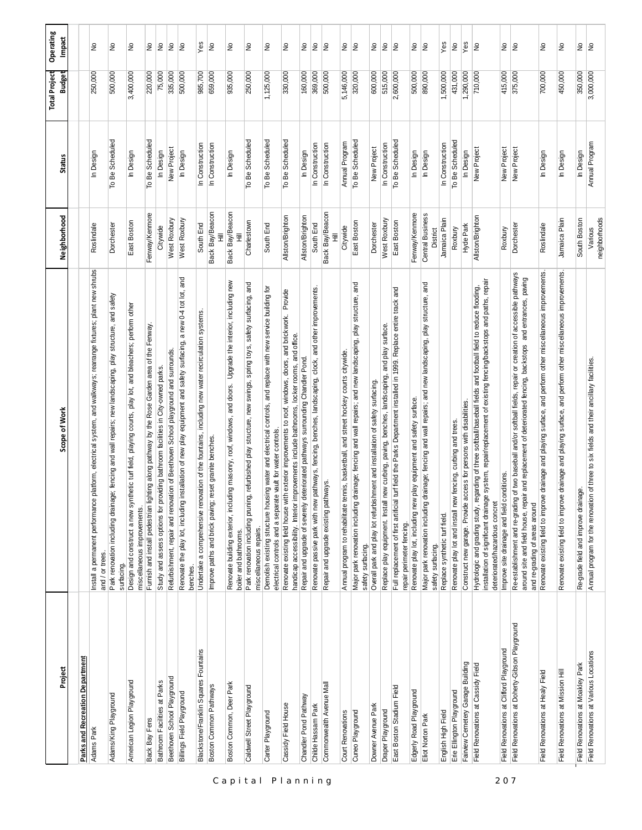|                                                 |                                                                                                                                                                                                                                                                          |                              |                 | <b>Total Project</b> | Operating       |
|-------------------------------------------------|--------------------------------------------------------------------------------------------------------------------------------------------------------------------------------------------------------------------------------------------------------------------------|------------------------------|-----------------|----------------------|-----------------|
| Project                                         | Scope of Work                                                                                                                                                                                                                                                            | Neighborhood                 | <b>Status</b>   | <b>Budget</b>        | Impact          |
| <b>Parks and Recreation Department</b>          |                                                                                                                                                                                                                                                                          |                              |                 |                      |                 |
| Adams Park                                      | install a permanent performance platform, electrical system, and walkways; rearrange fixtures; plant new shrubs<br>and / or trees                                                                                                                                        | Roslindale                   | In Design       | 250,000              | £               |
| Adams/King Playground                           | Park renovation including drainage; fencing and wall repairs; new landscaping, play structure, and safety<br>surfacing.                                                                                                                                                  | Dorchester                   | To Be Scheduled | 500,000              | ş               |
| American Legion Playground                      | etic turffield, playing courts, play lot, and bleachers; perform other<br>Design and construct a new synth<br>miscellaneous improvements.                                                                                                                                | East Boston                  | In Design       | 3,400,000            | ξ               |
| Back Bay Fens                                   | Furnish and install pedestrian lighting along pathway by the Rose Garden area of the Fenway.                                                                                                                                                                             | Fenway/Kenmore               | To Be Scheduled | 220,000              | ξ               |
| Bathroom Facilities at Parks                    | Study and assess options for providing bathroom facilities in City-owned parks.                                                                                                                                                                                          | Citywide                     | In Design       | 75,000               | Ιş              |
| Beethoven School Playground                     | Refurbishment, repair and renovation of Beethoven School playground and surrounds.                                                                                                                                                                                       | West Roxbury                 | New Project     | 335,000              | å               |
| Billings Field Playground                       | Renovate the play lot, including installation of new play equipment and safety surfacing, a new 0-4 tot lot, and<br>benches.                                                                                                                                             | West Roxbury                 | In Design       | 500,000              | $\frac{1}{2}$   |
| Blackstone/Franklin Squares Fountains           | Undertake a comprehensive renovation of the fountains, including new water recirculation systems.                                                                                                                                                                        | South End                    | In Construction | 985,700              | Yes             |
| Boston Common Pathways                          | Improve paths and brick paving; reset granite benches.                                                                                                                                                                                                                   | Back Bay/Beacon<br>Ē         | In Construction | 659,000              | £               |
| Boston Common, Deer Park<br>Capital             | Upgrade the interior, including new<br>ig masonry, roof, windows, and doors.<br>Renovate building exterior, includin<br>boiler and bathrooms.                                                                                                                            | Back Bay/Beacon<br>₹         | In Design       | 935,000              | £               |
| Caldwell Street Playground                      | refurbished play structure, new swings, spring toys, safety surfacing, and<br>Park renovation including pruning,<br>miscellaneous repairs.                                                                                                                               | Charlestown                  | To Be Scheduled | 250,000              | $\frac{1}{2}$   |
| Carter Playground                               | Demolish existing structure housing water and electrical controls, and replace with new service building for<br>vault for water controls<br>electrical controls and a separate                                                                                           | South End                    | To Be Scheduled | 1,125,000            | £               |
| Cassidy Field House<br>Planning                 | exterior improvements to roof, windows, doors, and brickwork. Provide<br>handicap accessibility. Interior improvements include bathrooms, locker rooms, and office.<br>Renovate existing field house with                                                                | Allston/Brighton             | To Be Scheduled | 330,000              | $\frac{1}{2}$   |
| Chandler Pond Pathway                           | Repair and upgrade of severely deteriorated pathways surrounding Chandler Pond.                                                                                                                                                                                          | Allston/Brighton             | In Design       | 160,000              | Ł               |
| Childe Hassam Park                              | Renovate passive park with new pathways, fencing, benches, landscaping, clock, and other improvements.                                                                                                                                                                   | South End                    | In Construction | 369,000              | $\vert$ 2       |
| Commonwealth Avenue Mall                        | Repair and upgrade existing pathways.                                                                                                                                                                                                                                    | Back Bay/Beacon<br>Ī         | In Construction | 500,000              | l 2             |
| Court Renovations                               | Annual program to rehabilitate tennis, basketball, and street hockey courts citywide.                                                                                                                                                                                    | Citywide                     | Annual Program  | 5,146,000            | 2               |
| Cuneo Playground                                | Major park renovation including drainage; fencing and wall repairs; and new landscaping, play structure, and<br>safety surfacing.                                                                                                                                        | East Boston                  | To Be Scheduled | 320,000              | l£              |
| Downer Avenue Park                              | Overall park and play lot refurbishment and installation of safety surfacing.                                                                                                                                                                                            | Dorchester                   | New Project     | 600,000              | 2               |
| Draper Playground                               | Replace play equipment. Install new curbing, paving, benches, landscaping, and play surface.                                                                                                                                                                             | West Roxbury                 | In Construction | 515,000              | $\vert z \vert$ |
| East Boston Stadium Field                       | Full replacement of first artificial turf field the Parks Department installed in 1999. Replace entire track and<br>repair perimeter fencing.                                                                                                                            | East Boston                  | To Be Scheduled | 2,600,000            | $\frac{9}{2}$   |
| Edgerly Road Playground                         | Renovate play lot, including new play equipment and safety surface.                                                                                                                                                                                                      | Fenway/Kenmore               | In Design       | 500,000              | ξ               |
| Eliot Norton Park                               | Major park renovation including drainage; fencing and wall repairs; and new landscaping, play structure, and<br>safety surfacing.                                                                                                                                        | Central Business<br>District | In Design       | 890,000              | £               |
| English High Field                              | Replace synthetic turf field.                                                                                                                                                                                                                                            | Jamaica Plain                | In Construction | 1,500,000            | Yes             |
| Erie Ellington Playground                       | Renovate play lot and install new fencing, curbing and trees.                                                                                                                                                                                                            | Roxbury                      | To Be Scheduled | 431,000              | 2               |
| Fairview Cemetery Garage Building               | Construct new garage. Provide access for persons with disabilities.                                                                                                                                                                                                      | Hyde Park                    | In Design       | 1,290,000            | Yes             |
| Field Renovations at Cassidy Field              | system, repair/replacement of existing fencing/backstops and paths, repair<br>Hydrologic and grading study, regarding of three softball/baseball fields and football field to reduce flooding,<br>installation of significant drainage<br>deteriorated/hazardous concret | Allston/Brighton             | New Project     | 710,000              | $\epsilon$      |
| Field Renovations at Clifford Playground<br>207 | Improve site drainage and field conditions.                                                                                                                                                                                                                              | Roxbury                      | New Project     | 415,000              | ş               |
| Field Renovations at Doherty-Gibson Playground  | Re-establishment and re-grading of two baseball and/or softball fields, repair or creation of accessible pathways<br>and replacement of deteriorated fencing, backstops and entrances, paving<br>around site and field house, repair<br>and re-grading of areas around   | Dorchester                   | New Project     | 375,000              | Ιş              |
| Field Renovations at Healy Field                | drainage and playing surface, and perform other miscellaneous improvements.<br>Renovate existing field to improve                                                                                                                                                        | Roslindale                   | In Design       | 700,000              | $\epsilon$      |
| Field Renovations at Mission Hill               | drainage and playing surface, and perform other miscellaneous improvements.<br>Renovate existing field to improve                                                                                                                                                        | Jamaica Plain                | In Design       | 450,000              | Ιş              |
| Field Renovations at Moakley Park               | Re-grade field and improve drainage.                                                                                                                                                                                                                                     | South Boston                 | In Design       | 350,000              | 2               |
| Field Renovations at Various Locations          | Annual program for the renovation of three to six fields and their ancillary facilities.                                                                                                                                                                                 | neighborhoods<br>Various     | Annual Program  | 3,000,000            | l 2             |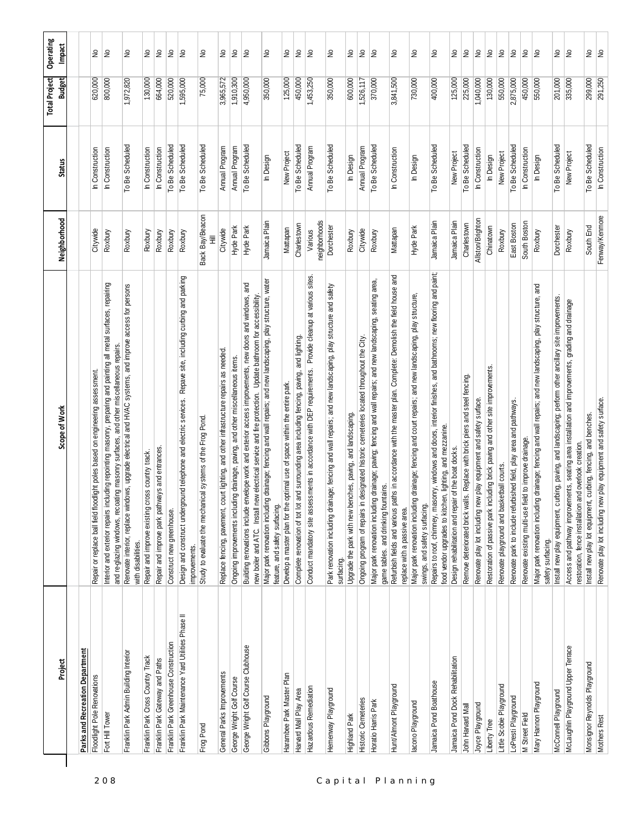|                                                     |                                                                                                                                                                                                                      |                          |                 | <b>Total Project</b> | Operating                           |
|-----------------------------------------------------|----------------------------------------------------------------------------------------------------------------------------------------------------------------------------------------------------------------------|--------------------------|-----------------|----------------------|-------------------------------------|
| Project                                             | Scope of Work                                                                                                                                                                                                        | Neighborhood             | <b>Status</b>   | <b>Budget</b>        | Impact                              |
|                                                     |                                                                                                                                                                                                                      |                          |                 |                      |                                     |
| Parks and Recreation Department                     |                                                                                                                                                                                                                      |                          |                 |                      |                                     |
| <b>Floodlight Pole Renovations</b>                  | Repair or replace ball field floodlight poles based on engineering assessment.                                                                                                                                       | Citywide                 | In Construction | 620,000              | Ιş                                  |
| Fort Hill Tower                                     | Interior and exterior repairs including repointing masonry, preparing and painting all metal surfaces, repairing<br>and re-glazing windows, recoating masonry surfaces, and other miscellaneous repairs              | Roxbury                  | In Construction | 800,000              | $\vert z \vert$                     |
| Franklin Park Admin Building Interior               | Renovate interior, replace windows, upgrade electrical and HVAC systems, and improve access for persons<br>with disabilities.                                                                                        | Roxbury                  | To Be Scheduled | 1,972,820            | $\stackrel{\circ}{\simeq}$          |
| Franklin Park Cross Country Track                   | oss country track.<br>Repair and improve existing cr                                                                                                                                                                 | Roxbury                  | In Construction | 130,000              | $\stackrel{\circ}{\simeq}$          |
| Franklin Park Gateway and Paths                     | Repair and improve park pathways and entrances.                                                                                                                                                                      | Roxbury                  | In Construction | 664,000              | Ł                                   |
| Franklin Park Greenhouse Construction               | Construct new greenhouse.                                                                                                                                                                                            | Roxbury                  | To Be Scheduled | 520,000              | lş                                  |
| =<br>Franklin Park Maintenance Yard Utilities Phase | Design and construct underground telephone and electric services. Repare site, including curbing and parking<br>improvements.                                                                                        | Roxbury                  | To Be Scheduled | 1,595,000            | lş                                  |
| Frog Pond                                           | ical systems of the Frog Pond.<br>Study to evaluate the mechani                                                                                                                                                      | Back Bay/Beacon<br>Ī     | To Be Scheduled | 75,000               | $\frac{1}{2}$                       |
| General Parks Improvements                          | Replace fencing, pavement, court lighting, and other infrastructure repairs as needed.                                                                                                                               | Citywide                 | Annual Program  | 3,965,572            | $\stackrel{\mathtt{o}}{\mathtt{z}}$ |
| George Wright Golf Course                           | Ongoing improvements including drainage, paving, and other miscellaneous items.                                                                                                                                      | Hyde Park                | Annual Program  | 1,910,300            | Ιş                                  |
| George Wright Golf Course Clubhouse                 | Building renovations include envelope work and exterior access improvements, new doors and windows, and<br>new boiler and ATC. Install new electrical service and fire protection. Update bathroom for accessibility | Hyde Park                | To Be Scheduled | 4,950,000            | lş                                  |
| Gibbons Playground                                  | Major park renovation including drainage; fencing and wall repairs; and new landscaping, play structure, water<br>feature, and safety surfacing.                                                                     | Jamaica Plain            | In Design       | 350,000              | Ιş                                  |
| Harambee Park Master Plan                           | optimal use of space within the entire park.<br>Develop a master plan for the                                                                                                                                        | Mattapan                 | New Project     | 125,000              | ş                                   |
| Harvard Mall Play Area                              | and surrounding area including fencing, paving, and lighting.<br>Complete renovation of tot lot                                                                                                                      | Charlestown              | To Be Scheduled | 450,000              | Ιş                                  |
| Hazardous Remediation                               | Conduct mandatory site assessments in accordance with DEP requirements. Provide cleanup at various sites                                                                                                             | neighborhoods<br>Various | Annual Program  | 1,453,250            | Ιş                                  |
| Hemenway Playground                                 | Park renovation including drainage; fencing and wall repairs; and new landscaping, play structure and safety<br>surfacing.                                                                                           | Dorchester               | To Be Scheduled | 350,000              | ş                                   |
| <b>Highland Park</b>                                | Upgrade the park with new benches, paving, and landscaping.                                                                                                                                                          | Roxbury                  | In Design       | 600,000              | $\hat{\mathsf{z}}$                  |
| <b>Historic Cemeteries</b>                          | Ongoing program of repairs in designated historic cemeteries located throughout the City.                                                                                                                            | Citywide                 | Annual Program  | 1,526,117            | Ιş                                  |
| Horatio Harris Park                                 | Major park renovation including drainage; paving; fencing and wall repairs; and new landscaping, seating area,<br>game tables. and drinking fountains.                                                               | Roxbury                  | To Be Scheduled | 370,000              | Ιş                                  |
| Hunt/Almont Playground                              | Refurbish fields and various paths in accordance with the master plan. Complete: Demolish the field house and<br>replace with a passive area.                                                                        | Mattapan                 | In Construction | 3,841,500            | $\epsilon$                          |
| lacono Playground                                   | Major park renovation including drainage; fencing and court repairs; and new landscaping, play structure,<br>swings, and safety surfacing.                                                                           | Hyde Park                | In Design       | 730,000              | lş                                  |
| Jamaica Pond Boathouse                              | Repairs to roof, chimney, masonry, windows and doors, interior finishes, and bathrooms; new flooring and paint;<br>food vendor upgrades to kitchen, lighting, and mezzanine.                                         | Jamaica Plain            | To Be Scheduled | 400,000              | ξ                                   |
| Jamaica Pond Dock Rehabilitation                    | Design rehabilitation and repair of the boat docks.                                                                                                                                                                  | Jamaica Plain            | New Project     | 125,000              | Ιş                                  |
| John Harvard Mall                                   | Remove deteriorated brick walls. Replace with brick piers and steel fencing.                                                                                                                                         | Charlestown              | To Be Scheduled | 225,000              | lş                                  |
| Joyce Playground                                    | Renovate play lot including new play equipment and safety surface.                                                                                                                                                   | Allston/Brighton         | In Construction | 1,040,000            | l£                                  |
| Liberty Tree                                        | Restoration of passive park including brick paving and other site improvements.                                                                                                                                      | Chinatown                | In Design       | 130,000              | l£                                  |
| Little Scobie Playground                            | Renovate playground and basketball courts.                                                                                                                                                                           | Roxbury                  | New Project     | 550,000              | Ιş                                  |
| LoPresti Playground                                 | Renovate park to include refurbished field, play area and pathways.                                                                                                                                                  | East Boston              | To Be Scheduled | 2,875,000            | $\stackrel{\mathtt{o}}{\mathtt{z}}$ |
| <b>M</b> Street Field                               | Renovate existing multi-use field to improve drainage.                                                                                                                                                               | South Boston             | In Construction | 450,000              | Ιş                                  |
| Mary Hannon Playground                              | Major park renovation including drainage; fencing and wall repairs; and new landscaping, play structure, and<br>safety surfacing.                                                                                    | Roxbury                  | In Design       | 550,000              | l£                                  |
| McConnell Playground                                | Install new play equipment, curbing, paving, and landscaping; perform other ancillary site improvements.                                                                                                             | Dorchester               | To Be Scheduled | 201,000              | $\hat{\mathsf{z}}$                  |
| McLaughlin Playground Upper Terrace                 | Access and pathway improvements, seating area installation and improvements, grading and drainage<br>restoration, fence installation and overlook creation                                                           | Roxbury                  | New Project     | 335,000              | Ιş                                  |
| Monsignor Reynolds Playground                       | Install new play lot equipment, curbing, fencing, and benches.                                                                                                                                                       | South End                | To Be Scheduled | 299,000              | $\hat{\mathsf{z}}$                  |
| <b>Mothers Rest</b>                                 | Renovate play lot including new play equipment and safety surface.                                                                                                                                                   | Fenway/Kenmore           | In Construction | 291,250              | Ł                                   |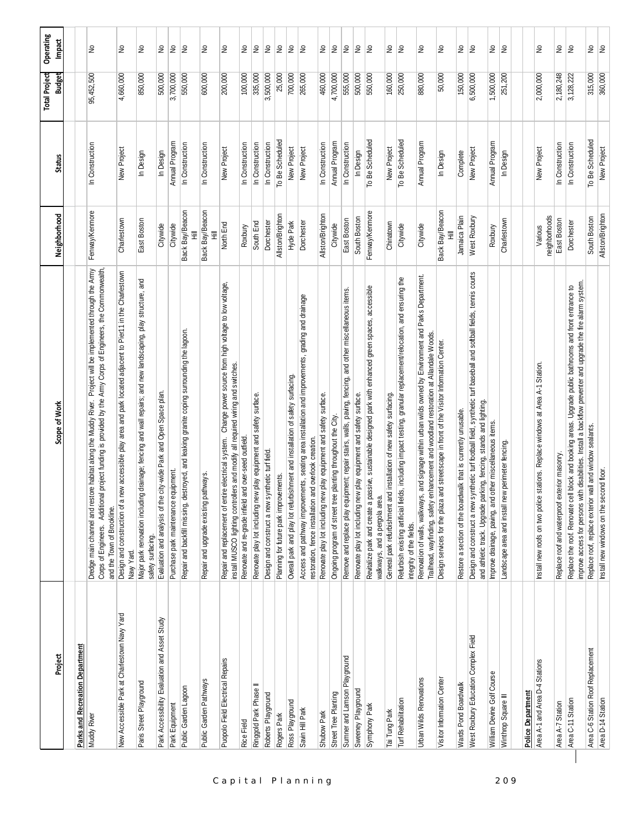|                                               |                                                                                                                                                                                                                                                                  |                          |                 | <b>Total Project</b> | Operating                           |
|-----------------------------------------------|------------------------------------------------------------------------------------------------------------------------------------------------------------------------------------------------------------------------------------------------------------------|--------------------------|-----------------|----------------------|-------------------------------------|
| Project                                       | Scope of Work                                                                                                                                                                                                                                                    | Neighborhood             | <b>Status</b>   | <b>Budget</b>        | Impact                              |
| <b>Parks and Recreation Department</b>        |                                                                                                                                                                                                                                                                  |                          |                 |                      |                                     |
| Muddy River                                   | project funding is provided by the Army Corps of Engineers, the Commonwealth,<br>re habitat along the Muddy River. Project will be implemented through the Army<br>Dredge main channel and resto<br>Corps of Engineers. Additional<br>and the Town of Brookline. | Fenway/Kenmore           | In Construction | 95,452,500           | $\stackrel{\circ}{\simeq}$          |
| New Accessible Park at Charlestown Navy Yard  | Design and construction of a new accessible play area and park located adjacent to Pier11 in the Charlestown<br>Navy Yard.                                                                                                                                       | Charlestown              | New Project     | 4,660,000            | ş                                   |
| Paris Street Playground                       | drainage; fencing and wall repairs; and new landscaping, play structure, and<br>Major park renovation including<br>safety surfacing.                                                                                                                             | East Boston              | In Design       | 850,000              | $\epsilon$                          |
| Park Accessibility Evaluation and Asset Study | city-wide Park and Open Space plan.<br>Evaluation and analysis of the                                                                                                                                                                                            | Citywide                 | In Design       | 500,000              | $\frac{1}{2}$                       |
| Park Equipment                                | Purchase park maintenance equipment.                                                                                                                                                                                                                             | Citywide                 | Annual Program  | 3,700,000            | lş                                  |
| Public Garden Lagoon                          | Repair and backfill missing, destroyed, and leaking granite coping surrounding the lagoon.                                                                                                                                                                       | Back Bay/Beacon<br>뤂     | In Construction | 550,000              | $\epsilon$                          |
| Public Garden Pathways                        | Repair and upgrade existing pathways.                                                                                                                                                                                                                            | Back Bay/Beacon<br>Ξ     | In Construction | 600,000              | $\stackrel{\mathtt{o}}{z}$          |
| Puopolo Field Electrical Repairs              | Repair and replacement of entire electrical system. Change power source from high voltage to low voltage,<br>install MUSCO lighting controllers and modify all required wiring and switches.                                                                     | North End                | New Project     | 200,000              | $\tilde{z}$                         |
| Rice Field                                    | Renovate and re-grade infield and over-seed outfield.                                                                                                                                                                                                            | Roxbury                  | In Construction | 100,000              | ξ                                   |
| Ringgold Park Phase                           | Renovate play lot including new play equipment and safety surface.                                                                                                                                                                                               | South End                | In Construction | 335,000              | l 2                                 |
| Roberts Playground                            | Design and construct a new synthetic turf field.                                                                                                                                                                                                                 | Dorchester               | In Construction | 3,500,000            | lş                                  |
| Rogers Park                                   | Planning for future park improvements.                                                                                                                                                                                                                           | Allston/Brighton         | To Be Scheduled | 25,000               | Ιş                                  |
| Ross Playground                               | Overall park and play lot refurbishment and installation of safety surfacing.                                                                                                                                                                                    | Hyde Park                | New Project     | 700,000              | Ιş                                  |
| Savin Hill Park                               | Access and pathway improvements, seating area installation and improvements, grading and drainage<br>restoration, fence installation and overlook creation.                                                                                                      | Dorchester               | New Project     | 265,000              | lş                                  |
| Shubow Park                                   | Renovate play lot including new play equipment and safety surface.                                                                                                                                                                                               | Allston/Brighton         | In Construction | 460,000              | ş                                   |
| <b>Street Tree Planting</b>                   | planting throughout the City.<br>Ongoing program of street tree                                                                                                                                                                                                  | Citywide                 | Annual Program  | 4,700,000            | lş                                  |
| Sumner and Lamson Playground                  | Remove and replace play equipment; repair stairs, walls, paving, fencing, and other miscellaneous items.                                                                                                                                                         | East Boston              | In Construction | 555,000              | l <sub>2</sub>                      |
| Sweeney Playground                            | Renovate play lot including new play equipment and safety surface.                                                                                                                                                                                               | South Boston             | In Design       | 500,000              | l 2                                 |
| Symphony Park                                 | Revitalize park and create a passive, sustainable designed park with enhanced green spaces, accessible                                                                                                                                                           | Fenway/Kenmore           | To Be Scheduled | 550,000              | Ιş                                  |
| Tai Tung Park                                 | General park refurbishment and installation of new safety surfacing.<br>walkways, and a pergola area.                                                                                                                                                            | Chinatown                | New Project     | 160,000              | ş                                   |
| <b>Turf Rehabilitation</b>                    | s, including impact testing, granular replacement/relocation, and ensuring the<br>Refurbish existing artificial field                                                                                                                                            | Citywide                 | To Be Scheduled | 250,000              | ş                                   |
|                                               | integrity of the fields.                                                                                                                                                                                                                                         |                          |                 |                      |                                     |
| <b>Urban Wilds Renovations</b>                | and signage within urban wilds owned by Environment and Parks Department.<br>Trailhead, wayfinding, safety enhancement and woodland restoration at Allandale Woods<br>Renovation of walls, walkways,                                                             | Citywide                 | Annual Program  | 880,000              | $\stackrel{\mathtt{o}}{\mathtt{z}}$ |
| Visitor Information Center                    | Design services for the plaza and streetscape in front of the Visitor Information Center.                                                                                                                                                                        | Back Bay/Beacon<br>呈     | In Design       | 50,000               | $\epsilon$                          |
| Wards Pond Boardwalk                          | Restore a section of the boardwalk that is currently unusable.                                                                                                                                                                                                   | Jamaica Plain            | Complete        | 150,000              | $\stackrel{\circ}{\simeq}$          |
| West Roxbury Education Complex Field          | Design and construct a new synthetic turf football field, synthetic turf baseball and softball fields, tennis courts<br>and athletic track. Upgrade parking, fencing, stands and lighting.                                                                       | West Roxbury             | New Project     | 6,500,000            | lş                                  |
| William Devine Golf Course                    | Improve drainage, paving, and other miscellaneous items.                                                                                                                                                                                                         | Roxbury                  | Annual Program  | 1,500,000            | ξ                                   |
| Winthrop Square III                           | Landscape area and install new perimeter fencing.                                                                                                                                                                                                                | Charlestown              | In Design       | 251,200              | £                                   |
|                                               |                                                                                                                                                                                                                                                                  |                          |                 |                      |                                     |
| <b>Police Department</b>                      |                                                                                                                                                                                                                                                                  |                          |                 |                      |                                     |
| Area A-1 and Area D-4 Stations                | stations. Replace windows at Area A-1 Station<br>Install new roofs on two police                                                                                                                                                                                 | neighborhoods<br>Various | New Project     | 2,000,000            | ş                                   |
| Area A-7 Station                              | Replace roof and waterproof exterior masonry.                                                                                                                                                                                                                    | East Boston              | In Construction | 2,180,248            | $\epsilon$                          |
| Area C-11 Station                             | improve access for persons with disabilities. Install a backflow preventer and upgrade the fire alarm system.<br>block and booking areas. Upgrade public bathrooms and front entrance to<br>Replace the roof. Renovate cell                                      | Dorchester               | In Construction | 3,128,222            | Ιş                                  |
| Area C-6 Station Roof Replacement             | Replace roof, replace exterior wall and window sealants.                                                                                                                                                                                                         | South Boston             | To Be Scheduled | 315,000              | ş                                   |
| Area D-14 Station                             | Install new windows on the second floor.                                                                                                                                                                                                                         | Allston/Brighton         | New Project     | 360,000              | lş                                  |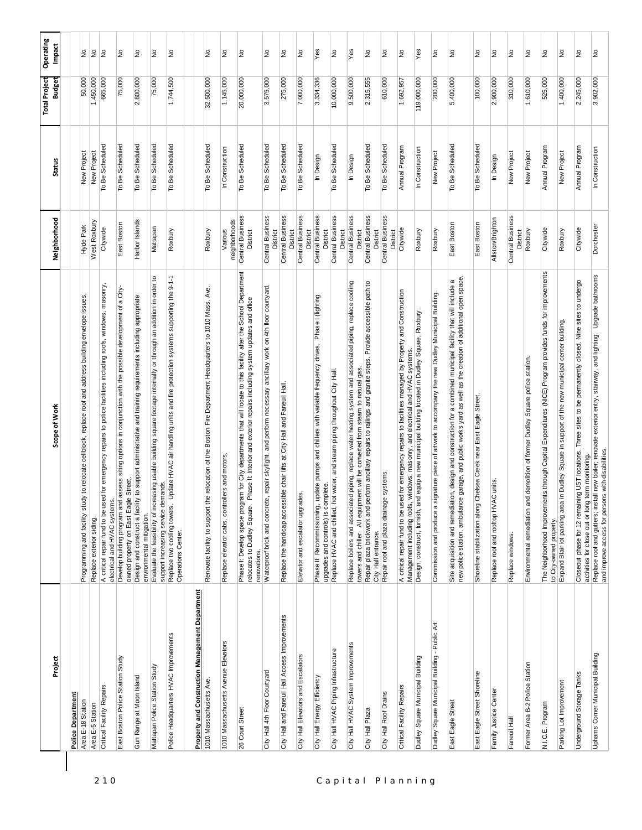| Project                                         | Scope of Work                                                                                                                                                                                                                                       | Neighborhood                        | <b>Status</b>   | <b>Total Project</b><br><b>Budget</b> | Operating<br>Impact |
|-------------------------------------------------|-----------------------------------------------------------------------------------------------------------------------------------------------------------------------------------------------------------------------------------------------------|-------------------------------------|-----------------|---------------------------------------|---------------------|
|                                                 |                                                                                                                                                                                                                                                     |                                     |                 |                                       |                     |
| <b>Police Department</b>                        |                                                                                                                                                                                                                                                     |                                     |                 |                                       |                     |
| Area E-18 Station                               | Programming and facility study to relocate cellblock, replace roof and address building envelope issues                                                                                                                                             | Hyde Park                           | New Project     | 50,000                                | £                   |
| Area E-5 Station                                | Replace exterior siding.                                                                                                                                                                                                                            | West Roxbury                        | New Project     | 1,450,000                             | $\frac{9}{2}$       |
| Critical Facility Repairs                       | ed for emergency repairs to police facilities including roofs, windows, masonry,<br>electrical and HVAC systems<br>A critical repair fund to be us                                                                                                  | Citywide                            | To Be Scheduled | 665,000                               | Ιş                  |
| East Boston Police Station Study                | assess siting options in conjunction with the possible development of a City<br>owned property on East Eagle Street.<br>Develop building program and                                                                                                | East Boston                         | To Be Scheduled | 75,000                                | £                   |
| Gun Range at Moon Island                        | Design and construct a facility to support administrative and training requirements including appropriate<br>environmental mitigation.                                                                                                              | Harbor Islands                      | To Be Scheduled | 2,800,000                             | ٤                   |
| Mattapan Police Station Study                   | Evaluate the feasibility of increasing usable building square footage internally or through an addition in order to<br>support increasing service demands                                                                                           | Mattapan                            | To Be Scheduled | 75,000                                | ١£                  |
| Police Headquarters HVAC Improvements           | Update HVAC air handling units and fire protection systems supporting the 9-1-1<br>Replace two cooling towers.<br>Operations Center.                                                                                                                | Roxbury                             | To Be Scheduled | 1,744,500                             | ٤                   |
| Property and Construction Management Department |                                                                                                                                                                                                                                                     |                                     |                 |                                       |                     |
| 1010 Massachusetts Ave.                         | he relocation of the Boston Fire Department Headquarters to 1010 Mass. Ave.<br>Renovate facility to support the                                                                                                                                     | Roxbury                             | To Be Scheduled | 32,500,000                            | ş                   |
| 1010 Massachusetts Avenue Elevators             | Replace elevator cabs, controllers and motors.                                                                                                                                                                                                      | neighborhoods<br>Various            | In Construction | 1, 145,000                            | ξ                   |
| 26 Court Street                                 | am for City departments that will locate to this facility after the School Department<br>Phase II: Interior and exterior repairs including system updates and office<br>Phase I: Develop space progr<br>relocates to Dudley Square.<br>renovations. | Central Business<br>District        | To Be Scheduled | 20,000,000                            | ٤                   |
| City Hall 4th Floor Courty ard                  | Waterproof brick and concrete, repair skylight, and perform necessary ancillary work on 4th floor courtyard.                                                                                                                                        | <b>Central Business</b><br>District | To Be Scheduled | 3,575,000                             | £                   |
| City Hall and Faneuil Hall Access Improvements  | Replace the handicap accessible chair lifts at City Hall and Faneuil Hall.                                                                                                                                                                          | Central Business<br>District        | To Be Scheduled | 275,000                               | ş                   |
| City Hall Elevators and Escalators              | Elevator and escalator upgrades.                                                                                                                                                                                                                    | Central Business<br>District        | To Be Scheduled | 7,000,000                             | Ł                   |
| City Hall Energy Efficiency                     | update pumps and chillers with variable frequency drives. Phase I (lighting<br>upgrades and controls) is complete.<br>Phase II: Recommissioning,                                                                                                    | Central Business<br>District        | In Design       | 3,334,336                             | Yes                 |
| City Hall HVAC Piping Infrastructure            | Replace HVAC and chilled, hot water, and steam piping throughout City Hall                                                                                                                                                                          | <b>Central Business</b><br>District | To Be Scheduled | 10,000,000                            | £                   |
| City Hall HVAC System Improvements              | Replace boilers and associated piping, replace water heating system and associated piping, replace cooling<br>towers and chiller. All equipment will be converted from steam to natural gas                                                         | <b>Central Business</b><br>District | In Design       | 9,500,000                             | Yes                 |
| City Hall Plaza                                 | Repair plaza brickwork and perform ancillary repairs to railings and granite steps. Provide accessible path to<br>City Hall entrance.                                                                                                               | <b>Central Business</b><br>District | To Be Scheduled | 2,315,555                             | <sub>2</sub>        |
| City Hall Roof Drains                           | Repair roof and plaza drainage systems                                                                                                                                                                                                              | <b>Central Business</b><br>District | To Be Scheduled | 610,000                               | ٤                   |
| Critical Facility Repairs                       | ed for emergency repairs to facilities managed by Property and Construction<br>windows, masonry, and electrical and HVAC systems.<br>A critical repair fund to be us<br>Management including roofs,                                                 | Citywide                            | Annual Program  | 1,692,957                             | £                   |
| Dudley Square Municipal Building                | Design, construct, furnish, and equip a new municipal building located in Dudley Square, Roxbury                                                                                                                                                    | Roxbury                             | In Construction | 119,000,000                           | $Y$ es              |
| Dudley Square Municipal Building - Public Art   | Commission and produce a signature piece of artwork to accompany the new Dudley Municipal Building.                                                                                                                                                 | Roxbury                             | New Project     | 200,000                               | ξ                   |
| East Eagle Street                               | Site acquisition and remediation, design and construction for a combined municipal facility that will include a<br>new police station, ambulance garage, and public works yard as well as the creation of additional open space.                    | East Boston                         | To Be Scheduled | 5,400,000                             | £                   |
| East Eagle Street Shoreline                     | Chelsea Creek near East Eagle Street<br>Shoreline stabilization along                                                                                                                                                                               | East Boston                         | To Be Scheduled | 100,000                               | £                   |
| Family Justice Center                           | C units.<br>Replace roof and rooftop HVA                                                                                                                                                                                                            | Allston/Brighton                    | In Design       | 2,900,000                             | £                   |
| Faneuil Hall                                    | Replace windows                                                                                                                                                                                                                                     | Central Business<br>District        | New Project     | 310,000                               | £                   |
| Former Area B-2 Police Station                  | Environmental remediation and demolition of former Dudley Square police station.                                                                                                                                                                    | Roxbury                             | New Project     | 1,610,000                             | $\epsilon$          |
| N.I.C.E. Program                                | nts through Capital Expenditures (NICE) Program provides funds for improvements<br>The Neighborhood Improveme<br>to City-owned property.                                                                                                            | Citywide                            | Annual Program  | 525,000                               | ٤                   |
| Parking Lot Improvement                         | in Dudley Square in support of the new municipal center building<br>Expand Blair lot parking area                                                                                                                                                   | Roxbury                             | New Project     | 1,400,000                             | £                   |
| Underground Storage Tanks                       | ing UST locations. Three sites to be permanently closed. Nine sites to undergo<br>term monitoring.<br>Closeout phase for 12 remain<br>activities for close out or long                                                                              | Citywide                            | Annual Program  | 2,245,000                             | £                   |
| Uphams Corner Municipal Building                | tall new boiler; renovate exterior entry, stairway, and lighting. Upgrade bathrooms<br>and improve access for persons with disabilities<br>Replace roof and gutters; inst                                                                           | Dorchester                          | In Construction | 3,902,000                             | Ιş                  |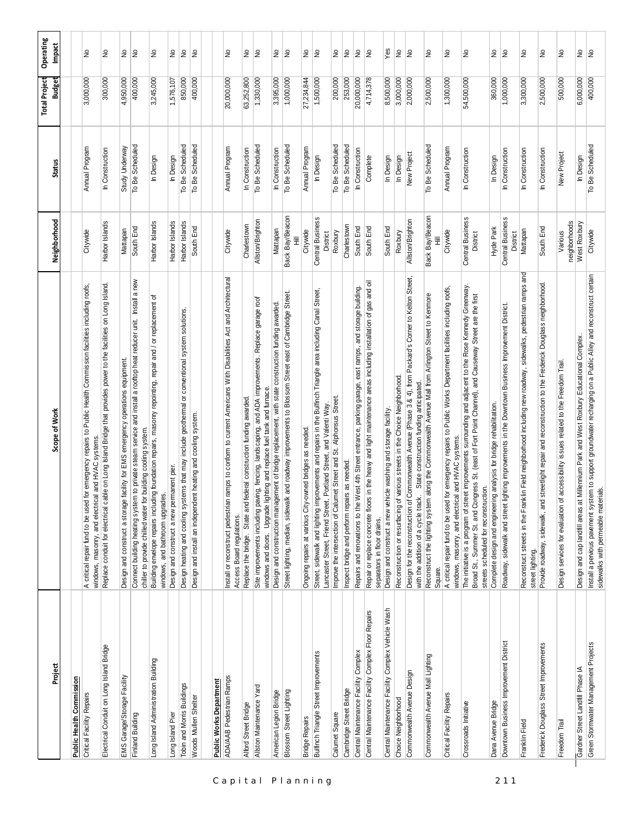| Project                                            | Scope of Work                                                                                                                                                                                                                                               | Neighborhood                 | <b>Status</b>   | <b>Total Project</b><br><b>Budget</b> | Operating<br>Impact             |
|----------------------------------------------------|-------------------------------------------------------------------------------------------------------------------------------------------------------------------------------------------------------------------------------------------------------------|------------------------------|-----------------|---------------------------------------|---------------------------------|
|                                                    |                                                                                                                                                                                                                                                             |                              |                 |                                       |                                 |
| <b>Public Health Commission</b>                    |                                                                                                                                                                                                                                                             |                              |                 |                                       |                                 |
| Critical Facility Repairs                          | for emergency repairs to Public Health Commission facilities including rods,<br>A critical repair fund to be used for emergency repairs twindows, masonry, and electrical and HVAC systems.                                                                 | Citywide                     | Annual Program  | 3,000,000                             | £                               |
| Electrical Conduit on Long Island Bridge           | Replace conduit for electrical cable on Long Island Bridge that provides power to the facilities on Long Island                                                                                                                                             | Harbor Islands               | In Construction | 300,000                               | £                               |
| EMS Garage/Storage Facility                        | Design and construct a storage facility for EMS emergency operations equipment.                                                                                                                                                                             | Mattapan                     | Study Underway  | 4,950,000                             | ş                               |
| Finland Building                                   | Connect building heating system to private steam service and install a rooftop heat reducer unit. Install a new<br>chiller to provide chilled water for building cooling system.                                                                            | South End                    | To Be Scheduled | 400,000                               | Ιş                              |
| Long Island Administration Building                | Building envelope repairs including foundation repairs, masonry repointing, repair and / or replacement of<br>windows, and bathroom upgrades.                                                                                                               | Harbor Islands               | In Design       | 3,245,000                             | $\frac{1}{2}$                   |
| Long Island Pier                                   | Design and construct a new permanent pier.                                                                                                                                                                                                                  | Harbor Islands               | In Design       | 1,576,107                             | £                               |
| Tobin and Morris Buildings                         | Design heating and cooling systems that may include geothermal or conventional system solutions.                                                                                                                                                            | Harbor Islands               | To Be Scheduled | 850,000                               | 2                               |
| Woods Mullen Shelter                               | Design and install an independent heating and cooling system.                                                                                                                                                                                               | South End                    | To Be Scheduled | 400,000                               | £                               |
| <b>Public Works Department</b>                     |                                                                                                                                                                                                                                                             |                              |                 |                                       |                                 |
| <b>ADA/AAB Pedestrian Ramps</b>                    | ramps to conform to current Americans With Disabilities Act and Architectural<br>Install or reconstruct pedestrian<br>Access Board regulations.                                                                                                             | Citywide                     | Annual Program  | 20,000,000                            | £                               |
| Alford Street Bridge                               | federal construction funding awarded.<br>Replace the bridge. State and                                                                                                                                                                                      | Charlestown                  | In Construction | 63,252,800                            | l£                              |
| Allston Maintenance Yard                           | Site improvements including paving, fencing, landscaping, and ADA improvements. Replace garage roof<br>windows and doors. Upgrade lighting and replace fuel tank and fumace.                                                                                | Allston/Brighton             | To Be Scheduled | 1,330,000                             | £                               |
| American Legion Bridge                             | Design and construction management of bridge replacement, with state construction funding awarded.                                                                                                                                                          | Mattapan                     | In Construction | 3,395,000                             | £                               |
| Blossom Street Lighting                            | Street lighting, median, sidewalk and roadway improvements to Blossom Street east of Cambridge Street                                                                                                                                                       | Back Bay/Beacon<br>뤂         | To Be Scheduled | 1,000,000                             | Ιş                              |
| <b>Bridge Repairs</b>                              | Ongoing repairs at various City-owned bridges as needed.                                                                                                                                                                                                    | Citywide                     | Annual Program  | 27,234,844                            | $\frac{\mathsf{o}}{\mathsf{e}}$ |
| Bulfinch Triangle Street Improvements              | Street, sidewalk and lighting improvements and repairs in the Bulfinch Triangle area including Canal Street,<br>Portland Street, and Valenti Way.<br>Lancaster Street, Friend Street,                                                                       | Central Business<br>District | In Design       | 1,500,000                             | Ιş                              |
| Calumet Square                                     | Improve the intersection of Calumet Street and St. Alphonsus Street                                                                                                                                                                                         | Roxbury                      | To Be Scheduled | 200,000                               | Ιş                              |
| Cambridge Street Bridge                            | Inspect bridge and perform repairs as needed.                                                                                                                                                                                                               | Charlestown                  | To Be Scheduled | 253,000                               | $\frac{1}{2}$                   |
| Central Maintenance Facility Complex               | Repairs and renovations to the West 4th Street entrance, parking garage, east ramps, and storage building.                                                                                                                                                  | South End                    | In Construction | 20,000,000                            | $\vert z \vert$                 |
| Central Maintenance Facility Complex Floor Repairs | Repair or replace concrete floors in the heavy and light maintenance areas including installation of gas and oil<br>separators in floor drains.                                                                                                             | South End                    | Complete        | 4,714,378                             | $\vert z \vert$                 |
| Central Maintenance Facility Complex Vehicle Wash  | Design and construct a new vehicle washing and storage facility.                                                                                                                                                                                            | South End                    | In Design       | 8,500,000                             | Yes                             |
| Choice Neighborhood                                | fvarious streets in the Choice Neighborhood.<br>Reconstruction or resurfacing of                                                                                                                                                                            | Roxbury                      | In Design       | 3,000,000                             | 2                               |
| Commonwealth Avenue Design                         | Commonwealth Avenue (Phase 3 & 4), from Packard's Corner to Kelton Street,<br>with the addition of a cycle track. State construction funding anticipated.<br>Design for the reconstruction of                                                               | Allston/Brighton             | New Project     | 2,000,000                             | $\vert z \vert$                 |
| Commonwealth Avenue Mall Lighting                  | Reconstruct the lighting system along the Commonwealth Avenue Mall from Arlington Street to Kenmore<br>Square.                                                                                                                                              | Back Bay/Beacon<br>呈         | To Be Scheduled | 2,500,000                             | £                               |
| Critical Facility Repairs                          | for emergency repairs to Public Works Department facilities including roofs,<br>windows, masonry, and electrical and HVAC systems.<br>A critical repair fund to be used                                                                                     | Citywide                     | Annual Program  | 1,300,000                             | £                               |
| Crossroads Initiative                              | The initiative is a program of street improvements surrounding and adjacent to the Rose Kennedy Greenway<br>Broad St., Summer St. and Congress St. (east of Fort Point Channel), and Causeway Street are the first<br>streets scheduled for reconstruction. | Central Business<br>District | In Construction | 54,500,000                            | $\frac{1}{2}$                   |
| Dana Avenue Bridge                                 | Complete design and engineering analysis for bridge rehabilitation.                                                                                                                                                                                         | Hyde Park                    | In Design       | 360,000                               | £                               |
| Downtown Business Improvement District             | ighting improvements in the Downtown Business Improvement District.<br>Roadway, sidewalk and street li                                                                                                                                                      | Central Business<br>District | In Construction | 1,000,000                             | $\frac{1}{2}$                   |
| Franklin Field                                     | Reconstruct streets in the Franklin Field neighborhood including new roadway, sidewalks, pedestrian ramps and                                                                                                                                               | Mattapan                     | In Construction | 3,300,000                             | $\frac{1}{2}$                   |
| Frederick Douglass Street Improvements             | streetlight repair and reconstruction to the Frederick Douglass neighborhood.<br>street lighting.<br>Provide roadway, sidewalk, and                                                                                                                         | South End                    | In Construction | 2,500,000                             | £                               |
| Freedom Trail                                      | Design services for evaluation of accessibility issues related to the Freedom Trail                                                                                                                                                                         | neighborhoods<br>Various     | New Project     | 500,000                               | $\stackrel{\circ}{\simeq}$      |
| Gardner Street Landfill Phase IA                   | Millennium Park and West Roxbury Educational Complex.<br>Design and cap landfill areas at                                                                                                                                                                   | West Roxbury                 | In Design       | 6,000,000                             | ş                               |
| Green Stormwater Management Projects               | Install a pervious pavement system to support groundwater recharging on a Public Alley and reconstruct certain<br>sidewalks with permeable materials.                                                                                                       | Citywide                     | To Be Scheduled | 400,000                               | Ιş                              |

Capital Planning 211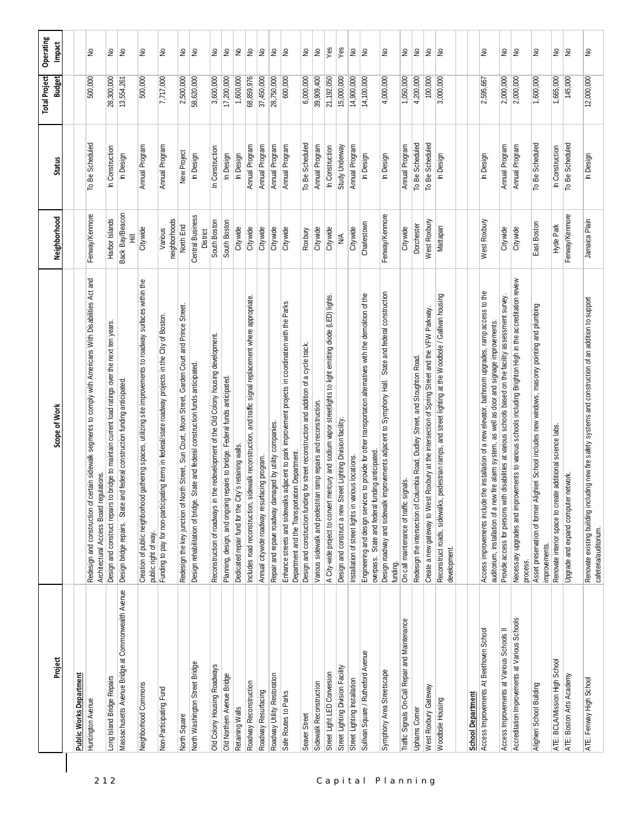|                                                    |                                                                                                                                                                                                        |                              |                 | <b>Total Project</b> | Operating                           |
|----------------------------------------------------|--------------------------------------------------------------------------------------------------------------------------------------------------------------------------------------------------------|------------------------------|-----------------|----------------------|-------------------------------------|
| Project                                            | Scope of Work                                                                                                                                                                                          | Neighborhood                 | <b>Status</b>   | <b>Budget</b>        | Impact                              |
|                                                    |                                                                                                                                                                                                        |                              |                 |                      |                                     |
| <b>Public Works Department</b>                     |                                                                                                                                                                                                        |                              |                 |                      |                                     |
| Huntington Avenue                                  | certain sidewalk segments to comply with Americans With Disabilities Act and<br>Architectural Access Board regulations<br>Redesign and construction of                                                 | Fenway/Kenmore               | To Be Scheduled | 500,000              | ş                                   |
| Long Island Bridge Repairs                         | Design and construct repairs to bridge to maintain current load ratings over the next ten years.                                                                                                       | Harbor Islands               | In Construction | 28,300,000           | $\frac{1}{2}$                       |
| Massachusetts Avenue Bridge at Commonwealth Avenue | Design bridge repairs. State and federal construction funding anticipated.                                                                                                                             | Back Bay/Beacon<br>Ē         | In Design       | 13,554,261           | lş                                  |
| Neighborhood Commons                               | Creation of public neighborhood gathering spaces, utilizing site improvements to roadway surfaces within the<br>public right of way.                                                                   | Citywide                     | Annual Program  | 500,000              | ξ                                   |
| Non-Participating Fund                             | Funding to pay for non-participating items in federal/state roadway projects in the City of Boston.                                                                                                    | neighborhoods<br>Various     | Annual Program  | 7,717,000            | $\frac{1}{2}$                       |
| North Square                                       | Redesign the key junction of North Street, Sun Court, Moon Street, Garden Court and Prince Street                                                                                                      | North End                    | New Project     | 2,500,000            | $\stackrel{\mathtt{o}}{\mathtt{z}}$ |
| North Washington Street Bridge                     | State and federal construction funds anticipated.<br>Design rehabilitation of bridge.                                                                                                                  | Central Business<br>District | In Design       | 58,620,000           | $\epsilon$                          |
| Old Colony Housing Roadways                        | Reconstruction of roadways in the redevelopment of the Old Colony housing development.                                                                                                                 | South Boston                 | In Construction | 3,600,000            | Ιş                                  |
| Old Northern Avenue Bridge                         | Planning, design, and ongoing repairs to bridge. Federal funds anticipated.                                                                                                                            | South Boston                 | In Design       | 17,200,000           | lş                                  |
| Retaining Walls                                    | Dedicated repair fund for the City's retaining walls.                                                                                                                                                  | Citywide                     | In Design       | 1,600,000            | $\frac{1}{2}$                       |
| Roadway Reconstruction                             | sidewalk reconstruction, and traffic signal replacement where appropriate.<br>Includes road reconstruction,                                                                                            | Citywide                     | Annual Program  | 68,859,976           | Ιş                                  |
| Roadway Resurfacing                                | Annual citywide roadway resurfacing program.                                                                                                                                                           | Citywide                     | Annual Program  | 37,450,000           | ξ                                   |
| Roadway Utility Restoration                        | Repair and repave roadway damaged by utility companies.                                                                                                                                                | Citywide                     | Annual Program  | 28,750,000           | l£                                  |
| Safe Routes to Parks                               | Enhance streets and sidewalks adjacent to park improvement projects in coordination with the Parks<br>Department and the Transportation Department.                                                    | Citywide                     | Annual Program  | 600,000              | lş                                  |
| Seaver Street                                      | Design and construction funding for street reconstruction and addition of a cycle track.                                                                                                               | Roxbury                      | To Be Scheduled | 6,000,000            | $\frac{1}{2}$                       |
| Sidewalk Reconstruction                            | Various sidewalk and pedestrian ramp repairs and reconstruction.                                                                                                                                       | Citywide                     | Annual Program  | 39,909,400           | Ιş                                  |
| Street Light LED Conversion                        | mercury and sodium vapor streetlights to light emitting diode (LED) lights.<br>A City-wide project to convert                                                                                          | Citywide                     | In Construction | 21,192,050           | Yes                                 |
| Street Lighting Division Facility                  | Design and construct a new Street Lighting Division facility.                                                                                                                                          | ≸                            | Study Underway  | 15,000,000           | Yes                                 |
| Street Lighting Installation                       | Installation of street lights in various locations.                                                                                                                                                    | Citywide                     | Annual Program  | 14,900,000           | $\frac{1}{2}$                       |
| Sullivan Square / Rutherford Avenue                | Engineering and design services to provide for other transportation alternatives with the demolition of the<br>overpass. State and federal funding anticipated.                                        | Charlestown                  | In Design       | 14,100,000           | lş                                  |
| Symphony Area Streetscape                          | improvements adjacent to Symphony Hall. State and federal construction<br>Design roadway and sidewalk<br>funding.                                                                                      | Fenway/Kenmore               | In Design       | 4,000,000            | $\mathsf{S}$                        |
| Traffic Signals On-Call Repair and Maintenance     | signals.<br>On call maintenance of traffic                                                                                                                                                             | Citywide                     | Annual Program  | 1,050,000            | Ιş                                  |
| <b>Uphams Corner</b>                               | Redesign the intersection of Columbia Road, Dudley Street, and Stoughton Road.                                                                                                                         | Dorchester                   | To Be Scheduled | 4,200,000            | Ιş                                  |
| West Roxbury Gateway                               | Create a new gateway to West Roxbury at the intersection of Spring Street and the VFW Parkway.                                                                                                         | West Roxbury                 | To Be Scheduled | 100,000              | Ιş                                  |
| Woodbole Housing                                   | pedestrian ramps, and street lighting at the Woodbole / Gallivan housing<br>Reconstruct roads, sidewalks,<br>development.                                                                              | Mattapan                     | In Design       | 3,000,000            | lş                                  |
| <b>School Department</b>                           |                                                                                                                                                                                                        |                              |                 |                      |                                     |
| Access Improvements At Beethoven School            | Access improvements include the installation of a new elevator, bathroom upgrades, ramp access to the<br>auditorium, installation of a new fire alarm system, as well as door and signage improvements | West Roxbury                 | In Design       | 2,595,667            | Ιş                                  |
| Access Improvements at Various Schools II          | Provide access for persons with disabilities at various schools based on the facility assessment survey.                                                                                               | Citywide                     | Annual Program  | 2,000,000            | $\frac{1}{2}$                       |
| Accreditation Improvements at Various Schools      | Necessary upgrades and improvements to various schools including Brighton High in the accreditation review<br>process.                                                                                 | Citywide                     | Annual Program  | 2,000,000            | Ιş                                  |
| Alighieri School Building                          | lighieri School includes new windows, masonry pointing and plumbing<br>Asset preservation of former A<br>improvements.                                                                                 | East Boston                  | To Be Scheduled | 1,600,000            | ξ                                   |
| ATE: BCLA/Mission High School                      | Renovate interior space to create additional science labs                                                                                                                                              | Hyde Park                    | In Construction | 1,665,000            | Ιş                                  |
| ATE: Boston Arts Academy                           | Upgrade and expand computer network.                                                                                                                                                                   | Fenway/Kenmore               | To Be Scheduled | 145,000              | l                                   |
| ATE: Fenway High School                            | Renovate existing building including new fire safety systems and construction of an addition to support<br>cafeteria/auditorium.                                                                       | Jamaica Plain                | In Design       | 12,000,000           | ş                                   |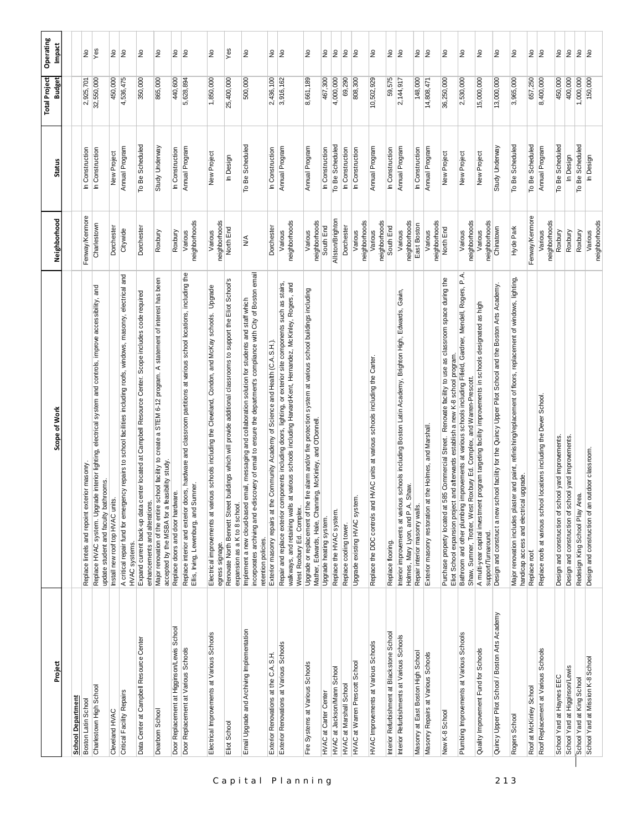| Project                                         | Scope of Work                                                                                                                                                                                                                                           | Neighborhood             | Status          | <b>Total Project</b><br><b>Budget</b> | Operating<br>Impact        |
|-------------------------------------------------|---------------------------------------------------------------------------------------------------------------------------------------------------------------------------------------------------------------------------------------------------------|--------------------------|-----------------|---------------------------------------|----------------------------|
|                                                 |                                                                                                                                                                                                                                                         |                          |                 |                                       |                            |
| <b>School Department</b>                        |                                                                                                                                                                                                                                                         |                          |                 |                                       |                            |
| Boston Latin School                             | Replace lintels and repoint exterior masonry                                                                                                                                                                                                            | Fenway/Kenmore           | In Construction | 2,925,701                             | ξ                          |
| Charlestown High School                         | Replace HVAC system. Upgrade interior lighting, electrical system and controls, improve accessibility, and<br>update student and faculty bathrooms.                                                                                                     | Charlestown              | In Construction | 32,550,000                            | Yes                        |
| Cleveland HVAC                                  | Install new roof top HVAC units.                                                                                                                                                                                                                        | Dorchester               | New Project     | 450,000                               | 2                          |
| Critical Facility Repairs                       | and<br>A critical repair fund for emergency repairs to school facilities including roofs, windows, masonry, electrical<br>HVAC systems.                                                                                                                 | Citywide                 | Annual Program  | 4,536,475                             | ξ                          |
| Data Center at Campbell Resource Center         | Expand current back-up data center located at Campbell Resource Center. Scope includes code required<br>enhancements and alterations.                                                                                                                   | Dorchester               | To Be Scheduled | 350,000                               | ١ş                         |
| Dearborn School                                 | Major renovation of the entire school facility to create a STEM 6-12 program. A statement of interest has been<br>accepted by the MSBA for a feasibility study                                                                                          | Roxbury                  | Study Underway  | 865,000                               | ş                          |
| Door Replacement at Higginson/Lewis School      | Replace doors and door hardware.                                                                                                                                                                                                                        | Roxbury                  | In Construction | 440,600                               | $\frac{1}{2}$              |
| Door Replacement at Various Schools             | Replace interior and exterior doors, hardware and classroom partitions at various school locations, including the<br>Ellis, Irving, Lewenburg, and Sumner.                                                                                              | neighborhoods<br>Various | Annual Program  | 5,628,894                             | $\frac{1}{2}$              |
| Electrical Improvements at Various Schools      | ous schools including the Cleveland, Condon, and McKay schools. Upgrade<br>Electrical improvements at vari<br>egress signage.                                                                                                                           | neighborhoods<br>Various | New Project     | 1,850,000                             | $\frac{1}{2}$              |
| Eliot School                                    | buildings which will provide additional classrooms to support the Eliot School's<br>Renovate North Bennett Street<br>expansion as a K to 8 school.                                                                                                      | North End                | In Design       | 25,400,000                            | Yes                        |
| Email Upgrade and Archiving Implementation      | incorporates archiving and e-discovery of email to ensure the department's compliance with City of Boston email<br>email, messaging and collaboration solution for students and staff which<br>Implement a new cloud-based<br>retention policies.       | $\leq$                   | To Be Scheduled | 500,000                               | $\frac{1}{2}$              |
| Exterior Renovations at the C.A.S.H.            | Exterior masonry repairs at the Community Academy of Science and Health (C.A.S.H.).                                                                                                                                                                     | Dorchester               | In Construction | 2,436,100                             | $\hat{\mathsf z}$          |
| Exterior Renovations at Various Schools         | Repair and replace exterior components including doors, lighting, or exterior site components such as stairs.<br>walkways, and retaining walls at various schools including Hanvard-Kent, Hernandez, McKinley, Rogers, and<br>West Roxbury Ed. Complex. | neighborhoods<br>Various | Annual Program  | 3,916,162                             | $\frac{1}{2}$              |
| Fire Systems at Various Schools                 | fire alarm and/or fire protection system at various school buildings including<br>Mather, Edwards, Hale, Channing, McKinley, and O'Donnell<br>Upgrade or replacement of the                                                                             | neighborhoods<br>Various | Annual Program  | 8,661,189                             | ş                          |
| HVAC at Carter Center                           | Upgrade heating system.                                                                                                                                                                                                                                 | South End                | In Construction | 467,300                               | $\frac{1}{2}$              |
| HVAC at Jackson/Mann School                     | Replace the HVAC system.                                                                                                                                                                                                                                | Allston/Brighton         | To Be Scheduled | 4,000,000                             | lş                         |
| <b>HVAC at Marshall School</b>                  | Replace cooling tower.                                                                                                                                                                                                                                  | Dorchester               | In Construction | 69,290                                | Ιş                         |
| HVAC at Warren Prescott School                  | Upgrade existing HVAC system.                                                                                                                                                                                                                           | neighborhoods<br>Various | In Construction | 808,300                               | $\frac{1}{2}$              |
| HVAC Improvements at Various Schools            | Replace the DDC controls and HVAC units at various schools including the Carter.                                                                                                                                                                        | neighborhoods<br>Various | Annual Program  | 10,502,929                            | Ιş                         |
| Interior Refurbishment at Blackstone School     | Replace flooring.                                                                                                                                                                                                                                       | South End                | In Construction | 59,575                                | 2                          |
| Interior Refurbishments at Various Schools      | Interior improvements at various schools including Boston Latin Academy, Brighton High, Edwards, Gavin,<br>Shaw.<br>Holmes, Mary Lyon, and P.A.                                                                                                         | neighborhoods<br>Various | Annual Program  | 2, 144, 917                           | $\frac{1}{2}$              |
| Masonry at East Boston High School              | Repair interior masonry walls.                                                                                                                                                                                                                          | East Boston              | In Construction | 148,000                               | ξ                          |
| Masonry Repairs at Various Schools              | the Holmes, and Marshall<br>Exterior masonry restoration at                                                                                                                                                                                             | neighborhoods<br>Various | Annual Program  | 14,808,47                             | ١ş                         |
| New K-8 School                                  | 85 Commercial Street. Renovate facility to use as classroom space during the<br>and afterwards establish a new K-8 school program<br>Purchase property located at 5<br>Eliot School expansion project                                                   | North End                | New Project     | 36,250,000                            | $\frac{1}{2}$              |
| Plumbing Improvements at Various Schools        | A.<br>Bathroom and other plumbing improvements at various schools including Fifield, Gardner, Mendell, Rogers,<br>Shaw, Sumner, Trotter, West Roxbury Ed. Complex, and Warren-Prescott.                                                                 | neighborhoods<br>Various | New Project     | 2,530,000                             | $\frac{\circ}{\mathsf{Z}}$ |
| Quality Improvement Fund for Schools            | program targeting facility improvements in schools designated as high<br>A multi-year capital investment<br>support/Turnaround.                                                                                                                         | neighborhoods<br>Various | New Project     | 15,000,000                            | $\frac{1}{2}$              |
| Quincy Upper Pilot School / Boston Arts Academy | Design and construct a new school facility for the Quincy Upper Pilot School and the Boston Arts Academy.                                                                                                                                               | Chinatown                | Study Underway  | 13,000,000                            | $\frac{1}{2}$              |
| Rogers School                                   | er and paint, refinishing/replacement of floors, replacement of windows, lighting,<br>upgrade.<br>Major renovation includes plast<br>handicap access and electrical                                                                                     | Hyde Park                | To Be Scheduled | 3,965,000                             | $\frac{\circ}{\mathsf{Z}}$ |
| Roof at McKinley School                         | Replace roof.                                                                                                                                                                                                                                           | Fenway/Kenmore           | To Be Scheduled | 657,250                               | $\frac{1}{2}$              |
| Roof Replacement at Various Schools             | locations including the Dever School<br>Replace roofs at various school                                                                                                                                                                                 | neighborhoods<br>Various | Annual Program  | 8,400,000                             | Ιş                         |
| School Yard at Haynes EEC                       | Design and construction of school yard improvements                                                                                                                                                                                                     | Roxbury                  | To Be Scheduled | 450,000                               | $\stackrel{\circ}{\simeq}$ |
| School Yard at Higginson/Lewis                  | Design and construction of school yard improvements.                                                                                                                                                                                                    | Roxbury                  | In Design       | 400,000                               | lş                         |
| School Yard at King School                      | Redesign King School Play Area.                                                                                                                                                                                                                         | Roxbury                  | To Be Scheduled | 1,000,000                             | Ιş                         |
| School Yard at Mission K-8 School               | outdoor classroom.<br>Design and construction of an                                                                                                                                                                                                     | neighborhoods<br>Various | In Design       | 150,000                               | lş                         |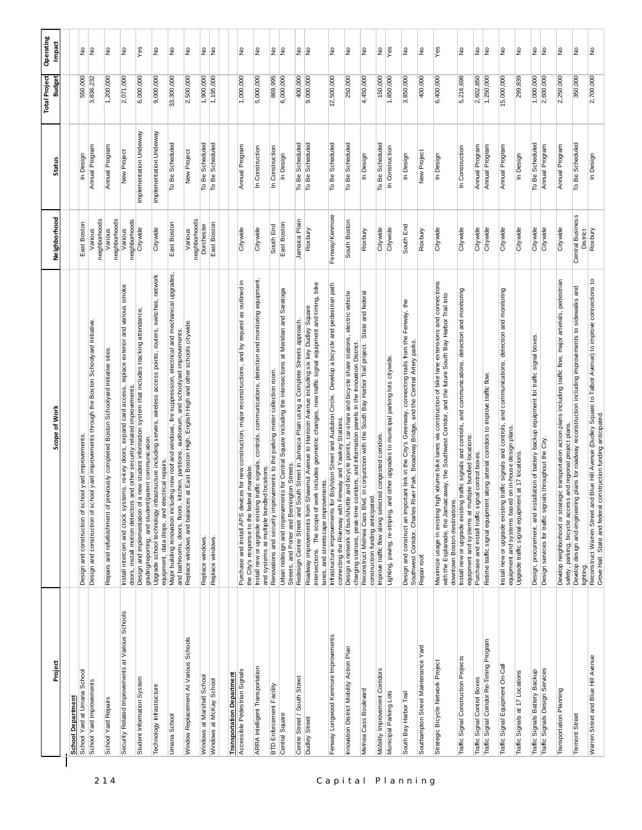| Project                                          | Scope of Work                                                                                                                                                                                                                                              | Neighborhood                 | Status                             | <b>Total Project</b><br><b>Budget</b> | Operating<br>Impact        |
|--------------------------------------------------|------------------------------------------------------------------------------------------------------------------------------------------------------------------------------------------------------------------------------------------------------------|------------------------------|------------------------------------|---------------------------------------|----------------------------|
|                                                  |                                                                                                                                                                                                                                                            |                              |                                    |                                       |                            |
| <b>School Department</b>                         |                                                                                                                                                                                                                                                            |                              |                                    |                                       |                            |
| School Yard at Umana School                      | Design and construction of school yard improvements                                                                                                                                                                                                        | East Boston                  | In Design                          | 550,000                               | $\frac{1}{2}$              |
| School Yard Improvements                         | Design and construction of school yard improvements through the Boston Schoolyard Initiative                                                                                                                                                               | neighborhoods<br>Various     | Annual Program                     | 3,836,232                             | $\frac{1}{2}$              |
| School Yard Repairs                              | Repairs and refurbishment of previously completed Boston Schoolyard Initiative sites                                                                                                                                                                       | neighborhoods<br>Various     | Annual Program                     | 1,200,000                             | $\frac{1}{2}$              |
| Security Related Improvements at Various Schools | ms, re-key doors, expand card access, replace exterior and various smoke<br>doors, install motion detectors and other security related improvements<br>Install intercom and clock syste                                                                    | neighborhoods<br>Various     | New Project                        | 2,071,000                             | $\frac{\circ}{2}$          |
| Student Information System                       | new student information system that includes tracking attendance,<br>grading/reporting, and student/parent communication.<br>Design and implementation of a                                                                                                | Citywide                     | Implementation Underway            | 6,000,000                             | $\overline{Y}$ es          |
| Technology Infrastructure                        | Upgrade school technology infrastructure including servers, wireless access points, routers, switches, network<br>equipment, data drops, and electrical repairs                                                                                            | Citywide                     | Implementation Underway            | 9,000,000                             | $\frac{1}{2}$              |
| Umana School                                     | Major building renovation including new roof and windows, fire suppression, electrical and mechanical upgrades<br>and bathrooms, doors, floors, kitchen, partitions, auditorium, and schoolyard improvements.<br>Replace windows and                       | East Boston                  | To Be Scheduled                    | 33,300,000                            | ę                          |
| Window Replacement At Various Schools            |                                                                                                                                                                                                                                                            | neighborhoods<br>Various     | New Project                        | 2,500,000                             | Ιş                         |
| Windows at Marshall School                       | Replace windows.                                                                                                                                                                                                                                           | Dorchester                   | To Be Scheduled                    | 1,900,000                             | $\frac{1}{2}$              |
| Windows at McKay School                          | Replace windows.                                                                                                                                                                                                                                           | East Boston                  | To Be Scheduled                    | 1,195,000                             | ę                          |
| <b>Transportation Department</b>                 |                                                                                                                                                                                                                                                            |                              |                                    |                                       |                            |
| Accessible Pedestrian Signals                    | Purchase and install APS devices for new construction, major reconstructions, and by request as outlined in<br>the City's response to the federal mandate                                                                                                  | Citywide                     | Annual Program                     | 1,000,000                             | $\stackrel{\circ}{\simeq}$ |
| ARRA Intelligent Transportation                  | Install new or upgrade existing traffic signals, controls, communications, detection and monitoring equipment,<br>and systems at multiple bundled locations.                                                                                               | Citywide                     | In Construction                    | 5,000,000                             | $\frac{1}{2}$              |
| <b>BTD Enforcement Facility</b>                  | Renovations and security improvements to the parking meter collection room.                                                                                                                                                                                | South End                    | In Construction                    | 869,995                               | $\frac{1}{2}$              |
| Central Square                                   | Urban redesign and improvements for Central Square including the intersections at Meridian and Saratoga<br>Streets, and Porter and Bennington Streets.                                                                                                     | East Boston                  | In Design                          | 6,000,000                             | g                          |
| Centre Street / South Street                     | Redesign Centre Street and South Street in Jamaica Plain using a Complete Streets approach.                                                                                                                                                                | Jamaica Plain                | To Be Scheduled<br>To Be Scheduled | 400,000                               | $\frac{1}{2}$              |
| Dudley Street                                    | Roadway improvements from Shawmut Avenue to Harrison Avenue including six key Dudley Square<br>intersections.  The scope of work includes geometric changes, new traffic signal equipment and timing, bike<br>lanes, and streetscape improvements.         | Roxbury                      |                                    | 9,000,000                             | Ιş                         |
| Fenway Longwood Kenmore Improvements             | Boylston Street and Audubon Circle. Develop a bicycle and pedestrian path<br>connecting the Riverway with Fenway and Yawkey Stations.<br>Infrastructure improvements for                                                                                   | Fenway/Kenmore               | To Be Scheduled                    | 12,500,000                            | $\frac{1}{2}$              |
| Innovation District Mobility Action Plan         | and bicycle points, car-share and bicycle share stations, electric vehicle<br>Design a network of bus/shuttle                                                                                                                                              | South Boston                 | To Be Scheduled                    | 250,000                               | $\frac{1}{2}$              |
| Melnea Cass Boulevard                            | State and federal<br>charging stations, peak-time corridors, and information panels in the Innovation District.<br>Reconstruct Melnea Cass Blvd. in conjunction with the South Bay Harbor Trail project.<br>construction funding anticipated               | Roxbury                      | In Design                          | 4,450,000                             | Ιş                         |
| Mobility Improvement Corridors                   | Improve traffic flow along selected congested corridors.                                                                                                                                                                                                   | Citywide                     | To Be Scheduled                    | 150,000                               | $\frac{1}{2}$              |
| Municipal Parking Lots                           | other upgrades to municipal parking lots citywide.<br>Lighting, paving, re-striping, and                                                                                                                                                                   | Citywide                     | In Construction                    | 1,850,000                             | Yes                        |
| South Bay Harbor Trail                           | Design and construct an important link in the City's Greenway, connecting trails from the Fenway, the<br>Southwest Corridor, Charles River Park, Broadway Bridge, and the Central Artery parks.                                                            | South End                    | In Design                          | 3,850,000                             | $\frac{1}{2}$              |
| Southampton Street Maintenance Yard              | Repair roof.                                                                                                                                                                                                                                               | Roxbury                      | New Project                        | 400,000                               | å                          |
| Strategic Bicycle Network Project                | n volume bike lanes via construction of bike lane extensions and connections<br>with the Esplanade, the Jamaicaway, the Southwest Corridor, and the future South Bay Harbor Trail into<br>Maximize usage in existing high<br>downtown Boston destinations. | Citywide                     | In Design                          | 6,400,000                             | $\overline{Y}$ es          |
| Traffic Signal Construction Projects             | Install new or upgrade existing traffic signals and controls, and communications, detection and monitoring<br>equipment and systems at multiple bundled locations.                                                                                         | Citywide                     | In Construction                    | 5,216,698                             | $\frac{\circ}{2}$          |
| Traffic Signal Control Boxes                     | Purchase and install traffic signal control boxes                                                                                                                                                                                                          | Citywide                     | Annual Program                     | 2,602,850                             | Ιş                         |
| Traffic Signal Corridor Re-Timing Program        | along arterial corridors to improve traffic flow<br>Retime traffic signal equipment                                                                                                                                                                        | Citywide                     | Annual Program                     | 1,250,000                             | $\frac{1}{2}$              |
| Traffic Signal Equipment On-Call                 | Install new or upgrade existing traffic signals and controls, and communications, detection and monitoring<br>on in-house design plans<br>equipment and systems based                                                                                      | Citywide                     | Annual Program                     | 15,000,000                            | $\frac{1}{2}$              |
| Traffic Signals at 17 Locations                  | at 17 locations<br>Upgrade traffic signal equipment                                                                                                                                                                                                        | Citywide                     | In Design                          | 299,839                               | $\frac{1}{2}$              |
| Traffic Signals Battery Backup                   | Design, procurement, and installation of battery backup equipment for traffic signal boxes                                                                                                                                                                 | Citywide                     | To Be Scheduled                    | 1,000,000                             | ł                          |
| Traffic Signals Design Services                  | Design services for traffic signals throughout the City.                                                                                                                                                                                                   | Citywide                     | Annual Program                     | 2,600,000                             | å                          |
| Transportation Planning                          | Develop neighborhood or strategic transportation action plans including traffic flow, major arterials, pedestrian<br>and regional project plans<br>safety, parking, bicycle access                                                                         | Citywide                     | Annual Program                     | 2,250,000                             | $\frac{\circ}{2}$          |
| <b>Tremont Street</b>                            | plans for roadway reconstruction including improvements to sidewalks and<br>Develop design and engineering<br>lighting.                                                                                                                                    | Central Business<br>District | To Be Scheduled                    | 350,000                               | $\frac{1}{2}$              |
| Warren Street and Blue Hill Avenue               | Blue Hill Avenue (Dudley Square to Talbot Avenue) to improve connections to<br>Grove Hall. State and federal construction funding anticipated.<br>Reconstruct Warren Street and                                                                            | Roxbury                      | In Design                          | 2,700,000                             | $\frac{1}{2}$              |

2 1 4 C a p i t a l P l a n n i n g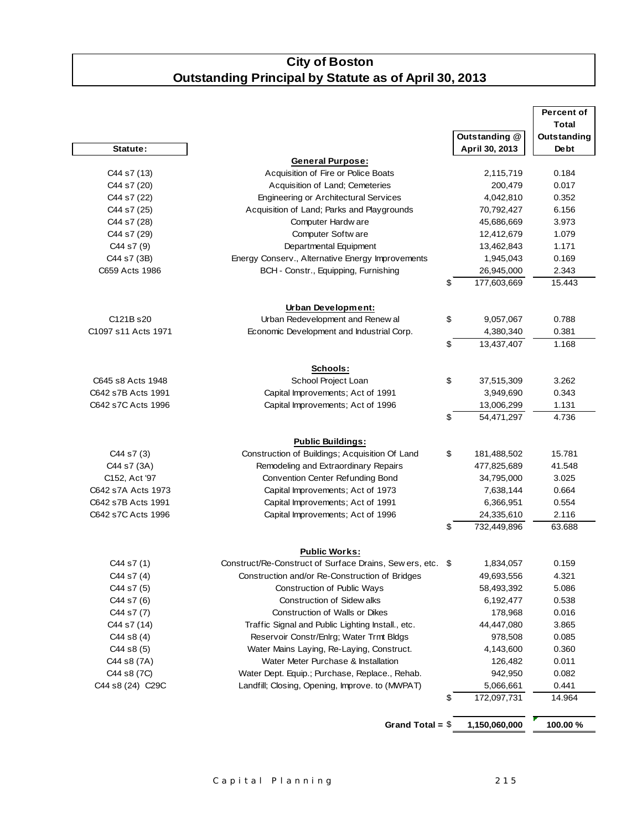### **City of Boston Outstanding Principal by Statute as of April 30, 2013**

|                                             |                                                            |                   | Percent of  |
|---------------------------------------------|------------------------------------------------------------|-------------------|-------------|
|                                             |                                                            |                   | Total       |
|                                             |                                                            | Outstanding @     | Outstanding |
| Statute:                                    |                                                            | April 30, 2013    | Debt        |
|                                             | <b>General Purpose:</b>                                    |                   |             |
| C44 s7 (13)                                 | Acquisition of Fire or Police Boats                        | 2,115,719         | 0.184       |
| C44 s7 (20)                                 | Acquisition of Land; Cemeteries                            | 200,479           | 0.017       |
| C44 s7 (22)                                 | <b>Engineering or Architectural Services</b>               | 4,042,810         | 0.352       |
| C44 s7 (25)                                 | Acquisition of Land; Parks and Playgrounds                 | 70,792,427        | 6.156       |
| C44 s7 (28)                                 | Computer Hardw are                                         | 45,686,669        | 3.973       |
| C44 s7 (29)                                 | Computer Softw are                                         | 12,412,679        | 1.079       |
| C44 s7 (9)                                  | Departmental Equipment                                     | 13,462,843        | 1.171       |
| C44 s7 (3B)                                 | Energy Conserv., Alternative Energy Improvements           | 1,945,043         | 0.169       |
| C659 Acts 1986                              | BCH - Constr., Equipping, Furnishing                       | 26,945,000        | 2.343       |
|                                             |                                                            | \$<br>177,603,669 | 15.443      |
|                                             |                                                            |                   |             |
|                                             | Urban Development:                                         |                   |             |
| C121B s20                                   | Urban Redevelopment and Renew al                           | \$<br>9,057,067   | 0.788       |
| C <sub>1097</sub> s <sub>11</sub> Acts 1971 | Economic Development and Industrial Corp.                  | 4,380,340         | 0.381       |
|                                             |                                                            | \$<br>13,437,407  | 1.168       |
|                                             |                                                            |                   |             |
|                                             | Schools:                                                   |                   |             |
| C645 s8 Acts 1948                           | School Project Loan                                        | \$<br>37,515,309  | 3.262       |
| C642 s7B Acts 1991                          | Capital Improvements; Act of 1991                          | 3,949,690         | 0.343       |
| C642 s7C Acts 1996                          | Capital Improvements; Act of 1996                          | 13,006,299        | 1.131       |
|                                             |                                                            | \$<br>54,471,297  | 4.736       |
|                                             |                                                            |                   |             |
|                                             | <b>Public Buildings:</b>                                   |                   |             |
| C44 s7 (3)                                  | Construction of Buildings; Acquisition Of Land             | \$<br>181,488,502 | 15.781      |
| C44 s7 (3A)                                 | Remodeling and Extraordinary Repairs                       | 477,825,689       | 41.548      |
| C152, Act '97                               | Convention Center Refunding Bond                           | 34,795,000        | 3.025       |
| C642 s7A Acts 1973                          | Capital Improvements; Act of 1973                          | 7,638,144         | 0.664       |
| C642 s7B Acts 1991                          | Capital Improvements; Act of 1991                          | 6,366,951         | 0.554       |
| C642 s7C Acts 1996                          | Capital Improvements; Act of 1996                          | 24,335,610        | 2.116       |
|                                             |                                                            | \$<br>732,449,896 | 63.688      |
|                                             |                                                            |                   |             |
|                                             | <b>Public Works:</b>                                       |                   |             |
| C44 s7 (1)                                  | Construct/Re-Construct of Surface Drains, Sew ers, etc. \$ | 1,834,057         | 0.159       |
| C44 s7 (4)                                  | Construction and/or Re-Construction of Bridges             | 49,693,556        | 4.321       |
| C44 s7 (5)                                  | Construction of Public Ways                                | 58,493,392        | 5.086       |
| C44 s7 (6)                                  | Construction of Sidew alks                                 | 6,192,477         | 0.538       |
| C44 s7 (7)                                  | <b>Construction of Walls or Dikes</b>                      | 178,968           | 0.016       |
| C44 s7 (14)                                 | Traffic Signal and Public Lighting Install., etc.          | 44,447,080        | 3.865       |
| $C44$ s8 $(4)$                              | Reservoir Constr/Enlrg; Water Trmt Bldgs                   | 978,508           | 0.085       |
| $C44$ s8 $(5)$                              | Water Mains Laying, Re-Laying, Construct.                  | 4,143,600         | 0.360       |
| C44 s8 (7A)                                 | Water Meter Purchase & Installation                        | 126,482           | 0.011       |
| C44 s8 (7C)                                 | Water Dept. Equip.; Purchase, Replace., Rehab.             | 942,950           | 0.082       |
| C44 s8 (24) C29C                            | Landfill; Closing, Opening, Improve. to (MWPAT)            | 5,066,661         | 0.441       |
|                                             |                                                            | \$<br>172,097,731 | 14.964      |
|                                             |                                                            |                   |             |
|                                             | Grand Total = $$$                                          | 1,150,060,000     | 100.00%     |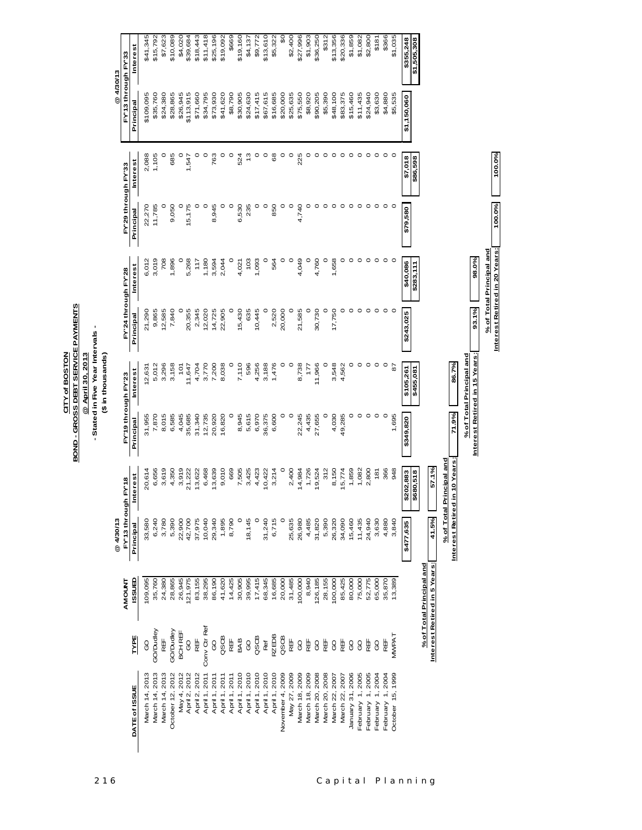|                                  |                   |                                                          |                               |                          | <b>BOND - GROSS DEBT SERVICE PAYMENTS</b> | - Stated in Five Year Intervals<br><b>CITY of BOSTON</b><br>@ April 30, 2013 |                                  |                               |                                  |                      |                                 |                     |
|----------------------------------|-------------------|----------------------------------------------------------|-------------------------------|--------------------------|-------------------------------------------|------------------------------------------------------------------------------|----------------------------------|-------------------------------|----------------------------------|----------------------|---------------------------------|---------------------|
|                                  |                   |                                                          |                               |                          |                                           | (\$ in thousands)                                                            |                                  |                               |                                  |                      |                                 |                     |
|                                  |                   | AMOUNT                                                   | @ 4/30/13                     |                          |                                           |                                                                              |                                  |                               |                                  |                      | @ 4/30/13                       |                     |
| DATE of ISSUE                    | TYPE              | <b>USSUED</b>                                            | FY'13 throug<br>Principal     | Interest<br>h FY 18      | FY'19 through FY'23<br>Principal          | Interest                                                                     | FY'24 through FY'28<br>Principal | Interest                      | FY'29 through FY'33<br>Principal | Interest             | FY13 through FY133<br>Principal | Interest            |
| March 14, 2013                   | OO                | 109,095                                                  | 33,580                        | 20,614                   | 31,955                                    | 12,631                                                                       | 21,290                           | 6,012                         | 22,270                           | 2,088                | \$109,095                       | \$41,345            |
| March 14, 2013                   | GO/Dudley         | 35,760                                                   | 6,240                         | 6,656                    | 7,870                                     | 5,012                                                                        | 9,865                            | 3,019                         | 11,785                           | 1,105                | \$35,760                        | \$15,792            |
| March 14, 2013                   | REF               | 24,380                                                   | 3,780                         | 3,619                    | 8,015                                     | 3,296                                                                        | 12,585                           | 708                           |                                  | $\circ$              | \$24,380                        | \$7,623             |
| October 12, 2012                 | GO/Dudley         | 28,865                                                   | 5,390                         | 4,350                    | 6,585                                     | 3,158                                                                        | 7,840                            | 1,896                         | 9,050                            | 685                  | \$28,865                        | \$10,089            |
| May 4, 2012<br>April 2, 2012     | BCH REF<br>O<br>O | 26,945<br>121,975                                        | 22,900<br>42,700              | 3,919<br>21,222          | 4,045<br>35,685                           | 101<br>11,647                                                                | $\circ$<br>20,355                | $\circ$<br>5,268              | $\circ$<br>15,175                | $\circ$<br>1,547     | \$26,945<br>\$113,915           | \$4,020<br>\$39,684 |
| April 2, 2012                    | REF               | 83,155                                                   | 37,975                        | 13,622                   | 31,340                                    | 4,704                                                                        | 2,345                            | 117                           | 0                                | $\circ$              | \$71,660                        | \$18,443            |
| April 1, 2011                    | Conv Ctr Ref      | 38,295                                                   | 10,040                        | 6,468                    | 12,735                                    | 3,770                                                                        | 12,020                           | 1,180                         | $\circ$                          | $\circ$              | \$34,795                        | \$11,418            |
| April 1, 2011                    | o<br>O            | 86,190                                                   | 29,340                        | 13,639                   | 20,920                                    | 7,200                                                                        | 14,725                           | 3,594                         | 8,945                            | 763                  | \$73,930                        | \$25,196            |
| April 1, 2011                    | QSCB              | 41,620                                                   | 1,895                         | 9,010                    | 16,820                                    | 8,038                                                                        | 22,905                           | 2,044                         | O                                | $\circ$              | \$41,620                        | \$19,092            |
| April 1, 2010<br>April 1, 2011   | BAB<br>REF        | 14,425                                                   | 8,790                         | 669                      | $\circ$                                   | $\circ$                                                                      | $\circ$                          | $\mathsf{C}$                  | $\circ$                          | $\circ$              | \$8,790                         | \$669               |
| April 1, 2010                    | <b>CO</b>         | 30,905<br>39,995                                         | $\circ$<br>18,145             | 7,505<br>3,425           | 8,945<br>5,615                            | 7,110<br>596                                                                 | 15,430<br>635                    | 103<br>4,021                  | 6,530<br>235                     | $\frac{3}{2}$<br>524 | \$30,905<br>\$24,630            | \$19,160<br>\$4,137 |
| April 1, 2010                    | QSCB              | 17,415                                                   |                               | 4,423                    | 6,970                                     | 4,256                                                                        | 10,445                           | 1,093                         | $\circ$                          | $\circ$              | \$17,415                        | \$9,772             |
| April 1, 2010                    | Ref               | 68,345                                                   | 31,240                        | 10,422                   | 36,375                                    | 3,188                                                                        | $\circ$                          | $\circ$                       | $\circ$                          | $\circ$              | \$67,615                        | \$13,610            |
| April 1, 2010                    | <b>RZEDB</b>      | 16,685                                                   | 6,715                         | 3,214                    | 6,600                                     | 1,476                                                                        | 2,520                            | 564                           | 850                              | 68                   | \$16,685                        | \$5,322             |
| November 4, 2009                 | QSCB              | 20,000                                                   |                               | 0                        | $\circ$                                   | $\circ$                                                                      | 20,000                           | $\circ$                       | $\circ$                          | $\circ$              | \$20,000                        | Ģ                   |
| May 27, 2009                     | REF               | 31,485                                                   | 25,635                        | 2,400                    | $\circ$                                   | $\circ$                                                                      |                                  | $\circ$                       | $\circ$                          | $\circ$              | \$25,635                        | \$2,400             |
| March 18, 2009                   | GO                | 100,000                                                  | 26,980                        | 14,984                   | 22,245                                    | 8,738                                                                        | 21,585                           | 4,049                         | 4,740                            | 225                  | \$75,550                        | \$27,996            |
| March 18, 2009                   | REF               | 8,940                                                    | 4,485                         | 1,726                    | 4,435                                     | 177                                                                          | $\circ$                          | $\circ$                       | $\circ$                          | $\circ$              | \$8,920                         | \$1,903             |
| March 20, 2008<br>March 20, 2008 | REF<br><b>GO</b>  | 126,185<br>28,155                                        | 31,820<br>5,390               | 19,524<br>312            | 27,655<br>$\circ$                         | 11,966<br>$\circ$                                                            | 30,730<br>$\circ$                | 4,760<br>$\circ$              | $\circ$<br>$\circ$               | $\circ$<br>$\circ$   | \$90,205<br>\$5,390             | \$312<br>\$36,250   |
| March 22, 2007                   | <b>GO</b>         | 100,000                                                  | 26,320                        | 8,150                    | 4,030                                     | 3,548                                                                        | 17,750                           | 1,658                         | $\circ$                          | $\circ$              | \$48,100                        | \$13,356            |
| March 22, 2007                   | REF               | 85,425                                                   | 34,090                        | 5,774                    | 49,285                                    | 4,562                                                                        | 0                                | 0                             | $\circ$                          | $\circ$              | \$83,375                        | \$20,336            |
| January 31, 2006                 | <b>CO</b>         | 80,000                                                   | 15,460                        | 1,859                    | $\circ$                                   | $\circ$                                                                      | $\circ$                          | $\circ$                       | $\circ$                          | $\circ$              | \$15,460                        | \$1,859             |
| February 1, 2005                 | 9                 | 75,000                                                   | 11,435                        | 1,082                    | $\circ$                                   | $\circ$                                                                      | $\circ$                          | $\circ$                       | $\circ$                          | $\circ$              | \$11,435                        | \$1,082             |
| 1,2005<br>February               | REF               | 52,775                                                   | 24,940                        | 2,800                    | $\circ$                                   | $\circ$                                                                      | $\circ$                          | $\circ$                       | $\circ$                          | $\circ$              | \$24,940                        | \$2,800             |
| February 1, 2004                 | <b>CO</b>         | 65,000                                                   | 3,630                         | 181                      | $\circ$                                   | $\circ$                                                                      | $\circ$                          | $\circ$                       | $\circ$                          | $\circ$              | \$3,630                         | \$181               |
| February 1, 2004                 | REF               | 35,870                                                   | 4,880                         | 366                      | $\circ$                                   | $\circ$                                                                      | $\circ$                          | $\circ$                       |                                  | $\circ$              | \$4,880                         | \$366               |
| October 15, 1999                 | <b>MWPAT</b>      | 13,389                                                   | 3,840                         | 948                      | 1,695                                     | $\overline{8}$                                                               | $\circ$                          | $\circ$                       |                                  | $\circ$              | \$5,535                         | \$1,035             |
|                                  |                   |                                                          | \$477,635                     | \$202,883                | \$349,820                                 | \$105,261                                                                    | \$243,025                        | \$40,086                      | \$79,580                         | \$7,018              | \$1,150,060                     | \$355,248           |
|                                  |                   |                                                          |                               | \$680,518                |                                           | \$455,081                                                                    |                                  | \$283,111                     |                                  | \$86,598             |                                 | \$1,505,308         |
|                                  |                   | Interest Retired in 5 Years:<br>% of Total Principal and | 41.5%                         | 57.1%                    |                                           |                                                                              |                                  |                               |                                  |                      |                                 |                     |
|                                  |                   |                                                          |                               | % of Total Principal and |                                           |                                                                              |                                  |                               |                                  |                      |                                 |                     |
|                                  |                   |                                                          | Interest Retired in 10 Years: |                          | 71.9%                                     | 86.7%                                                                        |                                  |                               |                                  |                      |                                 |                     |
|                                  |                   |                                                          |                               |                          |                                           | Interest Retired in 15 Years:<br>$\%$ of Total Principal and                 | 93.1%                            | 98.0%                         |                                  |                      |                                 |                     |
|                                  |                   |                                                          |                               |                          |                                           |                                                                              |                                  | % of Total Principal and      |                                  |                      |                                 |                     |
|                                  |                   |                                                          |                               |                          |                                           |                                                                              |                                  | Interest Retired in 20 Years: | 100.0%                           | 100.0%               |                                 |                     |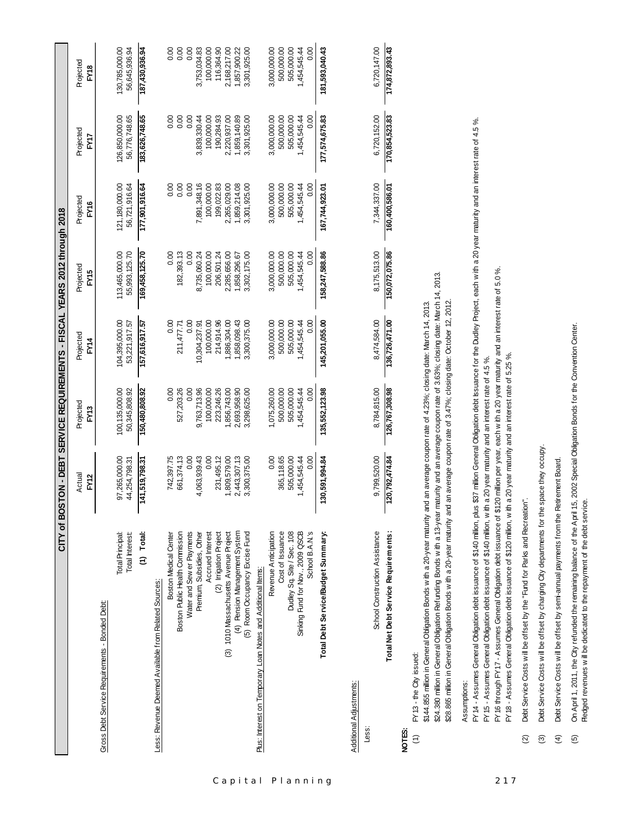| CITY of BC                                                   |                |                   |                          | OSTON - DEBT SERVICE REQUIREMENTS - FISCAL YEARS 2012 through 2018 |                   |                   |                   |
|--------------------------------------------------------------|----------------|-------------------|--------------------------|--------------------------------------------------------------------|-------------------|-------------------|-------------------|
|                                                              | Actual<br>FY12 | Projected<br>FY13 | Projected<br><b>FY14</b> | Projected<br>FY15                                                  | Projected<br>FY16 | Projected<br>FY17 | Projected<br>FY18 |
| Gross Debt Service Requirements - Bonded Debt:               |                |                   |                          |                                                                    |                   |                   |                   |
| Total Principal:                                             | 97,265,000.00  | 100, 135, 000.00  | 104,395,000.00           | 113,465,000.00                                                     | 121,180,000.00    | 126,850,000.00    | 130,785,000.00    |
| Total Interest:                                              | 44,254,798.31  | 50,345,808.92     | 53,221,917.57            | 55,993,125.70                                                      | 56,721,916.64     | 56,776,748.65     | 56,645,936.94     |
| $(1)$ Total:                                                 | 141,519,798.31 | 150,480,808.92    | 157,616,917.57           | 169,458,125.70                                                     | 177,901,916.64    | 183,626,748.65    | 187,430,936.94    |
| Less: Revenue Deemed Available from Related Sources:         |                |                   |                          |                                                                    |                   |                   |                   |
| Boston Medical Center                                        | 742,397.75     | 0.00              | 0.00                     | 0.00                                                               |                   | 0.00              | 8.00              |
| Boston Public Health Commission                              | 661,374.13     | 527,203.26        | 211,477.71               | 182,393.13                                                         | 0.00              | 0.00              | 0.00              |
| Water and Sew er Payments                                    | 0.00           | 0.00              | 0.00                     | <b>SC</b>                                                          | 0.00              | $\frac{8}{10}$    | 0.00              |
| Premium, Subsidies, Other                                    | 4,063,939.43   | 9,763,713.96      | 0,304,237.91             | 8,735,060.24                                                       | 7,891,348.16      | 3,839,330.44      | 3,753,034.83      |
| Accrued Interest                                             | $\frac{8}{10}$ | 100,000.00        | 100,000.00               | 100,000.00                                                         | 100,000.00        | 100,000.00        | 100,000.00        |
| (2) Irrigation Project                                       | 231,495.12     | 223,246.26        | 214,914.96               | 206,501.24                                                         | 199,022.83        | 190,284.93        | 116,364.90        |
| (3) 1010 Massachusetts Avenue Project                        | ,809,579.00    | ,856,743.00       | ,886,304.00              | 2,285,656.00                                                       | 2,265,029.00      | 2,220,937.00      | 2,168,217.00      |
| (4) Pension Management System                                | 2,443,307.13   | ,693,958.90       | ,858,098.43              | ,858,296.67                                                        | 1,859,214.08      | 1,859,140.89      | 1,857,900.22      |
| (5) Room Occupancy Excise Fund                               | 3,300,375.00   | 3,298,625.00      | 3,300,375.00             | 3,302,175.00                                                       | 3,301,925.00      | 3,301,925.00      | 3,301,925.00      |
| Plus: Interest on Temporary Loan Notes and Additional Items: |                |                   |                          |                                                                    |                   |                   |                   |
| Revenue Anticipation                                         | 0.00           | 075,260.00        | 3,000,000.00             | 3,000,000.00                                                       | 3,000,000.00      | 3,000,000.00      | 3,000,000.00      |
| Cost of Issuance                                             | 365,118.65     | 500,000.00        | 500,000.00               | 500,000.00                                                         | 500,000.00        | 500,000.00        | 500,000.00        |
| Dudley Sq. Site / Sec. 108                                   | 505,000.00     | 505,000.00        | 505,000.00               | 505,000.00                                                         | 505.000.00        | 505,000.00        | 505,000.00        |
| Sinking Fund for Nov., 2009 QSCB<br>School B.A.N.'s          | 1,454,545.44   | 1,454,545.44      | ,454,545.44              | 1,454,545.44                                                       | ,454,545.44       | 1,454,545.44      | 1,454,545.44      |
|                                                              | 0.00           | 0.00              | 0.00                     | 0.00                                                               | 0.00              | 0.00              | 0.00              |
| Total Debt Service/Budget Summary:                           | 130,591,994.84 | 135,552,123.98    | 145,201,055.00           | 158,247,588.86                                                     | 167,744,923.01    | 177,574,675.83    | 181,593,040.43    |
|                                                              |                |                   |                          |                                                                    |                   |                   |                   |

## Additional Adjustments: Additional Adjustments: Less:

| 6,720,147.0  | 174,872,893.4  |
|--------------|----------------|
| 6,720,152.00 | 170,854,523.83 |
| 7,344,337.00 | 160,400,586.01 |
| 175,513.00   | 150,072,075.86 |
| 9,474,584.00 | 136,726,471.00 |
| 9784,815.4   | 126,767,308.98 |
| 9,799,520.00 | 120,792,474.84 |
|              |                |

# **NOTES:**

FY13 - the City issued: (1) FY13 - the City issued:  $\widehat{z}$ 

\$24.380 million in General Obligation Refunding Bonds with a 13-year maturity and an average coupon rate of 3.63%; closing date: March 14, 2013. \$24.380 million in General Obligation Refunding Bonds w ith a 13-year maturity and an average coupon rate of 3.63%; closing date: March 14, 2013. \$144.855 million in General Obligation Bonds w ith a 20-year maturity and an average coupon rate of 4.23%; closing date: March 14, 2013. \$28.865 million in General Obligation Bonds with a 20-year maturity and an average coupon rate of 3.47%; closing date: October 12, 2012. \$28.865 million in General Obligation Bonds w ith a 20-year maturity and an average coupon rate of 3.47%; closing date: October 12, 2012. \$144.855 million in General Obligation Bonds w ith a 20-year maturity and an average coupon rate of 4.23%; closing date: March 14, 2013.

## Assumptions: Assumptions:

FY14 - Assumes General Obligation debt issuance of \$140 million, plus \$37 million General Obligation debt Issuance for the Dudley Project, each with a 20 year maturity and an interest rate of 4.5 %. FY14 - Assumes General Obligation debt issuance of \$140 million, plus \$37 million General Obligation debt Issuance for the Dudley Project, each w ith a 20 year maturity and an interest rate of 4.5 %. FY15 - Assumes General Obligation debt issuance of \$140 million, with a 20 year maturity and an interest rate of 4.5 %. FY15 - Assumes General Obligation debt issuance of \$140 million, w ith a 20 year maturity and an interest rate of 4.5 %.

- FY16 through FY17 Assumes General Obligation debt issuance of \$120 million per year, each with a 20 year maturity and an interest rate of 5.0 %. FY16 through FY17 - Assumes General Obligation debt issuance of \$120 million per year, each w ith a 20 year maturity and an interest rate of 5.0 %.
	- FY18 Assumes General Obligation debt issuance of \$120 million, with a 20 year maturity and an interest rate of 5.25 %. FY18 - Assumes General Obligation debt issuance of \$120 million, w ith a 20 year maturity and an interest rate of 5.25 %.
		-
		- Debt Service Costs will be offset by the "Fund for Parks and Recreation". (2) Debt Service Costs w ill be offset by the "Fund for Parks and Recreation".  $\widehat{\alpha}$
- Debt Service Costs will be offset by charging City departments for the space they occupy. (3) Debt Service Costs w ill be offset by charging City departments for the space they occupy.  $\widehat{\mathfrak{S}}$
- Debt Service Costs will be offset by semi-annual payments from the Retirement Board. (4) Debt Service Costs w ill be offset by semi-annual payments from the Retirement Board.  $\widehat{f}$
- On April 1, 2011, the City refunded the remaining balance of the April 15, 2002 Special Obligation Bonds for the Convention Center. (5) On April 1, 2011, the City refunded the remaining balance of the April 15, 2002 Special Obligation Bonds for the Convention Center. Pledged revenues will be dedicated to the repayment of the debt service. Pledged revenues w ill be dedicated to the repayment of the debt service. $\widehat{\mathfrak{G}}$